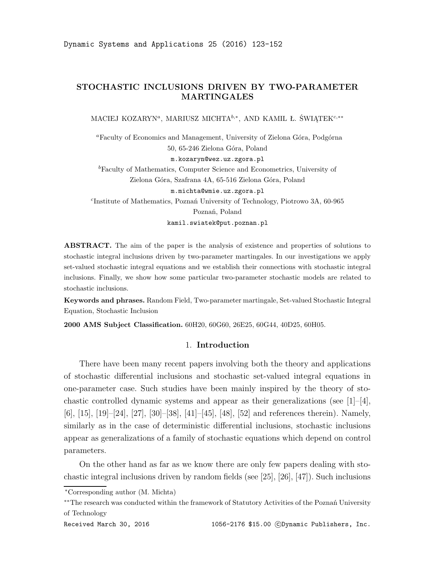# **STOCHASTIC INCLUSIONS DRIVEN BY TWO-PARAMETER MARTINGALES**

MACIEJ KOZARYN*<sup>a</sup>* , MARIUSZ MICHTA*b,<sup>∗</sup>* , AND KAMIL Ł. ŚWIĄTEK*c,∗∗*

*<sup>a</sup>*Faculty of Economics and Management, University of Zielona Góra, Podgórna 50, 65-246 Zielona Góra, Poland

m.kozaryn@wez.uz.zgora.pl

*<sup>b</sup>*Faculty of Mathematics, Computer Science and Econometrics, University of Zielona Góra, Szafrana 4A, 65-516 Zielona Góra, Poland m.michta@wmie.uz.zgora.pl *c* Institute of Mathematics, Poznań University of Technology, Piotrowo 3A, 60-965 Poznań, Poland kamil.swiatek@put.poznan.pl

ABSTRACT. The aim of the paper is the analysis of existence and properties of solutions to stochastic integral inclusions driven by two-parameter martingales. In our investigations we apply set-valued stochastic integral equations and we establish their connections with stochastic integral inclusions. Finally, we show how some particular two-parameter stochastic models are related to stochastic inclusions.

**Keywords and phrases.** Random Field, Two-parameter martingale, Set-valued Stochastic Integral Equation, Stochastic Inclusion

**2000 AMS Subject Classification.** 60H20, 60G60, 26E25, 60G44, 40D25, 60H05.

## 1. **Introduction**

There have been many recent papers involving both the theory and applications of stochastic differential inclusions and stochastic set-valued integral equations in one-parameter case. Such studies have been mainly inspired by the theory of stochastic controlled dynamic systems and appear as their generalizations (see  $[1]-[4]$ , [6], [15], [19]–[24], [27], [30]–[38], [41]–[45], [48], [52] and references therein). Namely, similarly as in the case of deterministic differential inclusions, stochastic inclusions appear as generalizations of a family of stochastic equations which depend on control parameters.

On the other hand as far as we know there are only few papers dealing with stochastic integral inclusions driven by random fields (see [25], [26], [47]). Such inclusions

*<sup>∗</sup>*Corresponding author (M. Michta)

*<sup>∗∗</sup>*The research was conducted within the framework of Statutory Activities of the Poznań University of Technology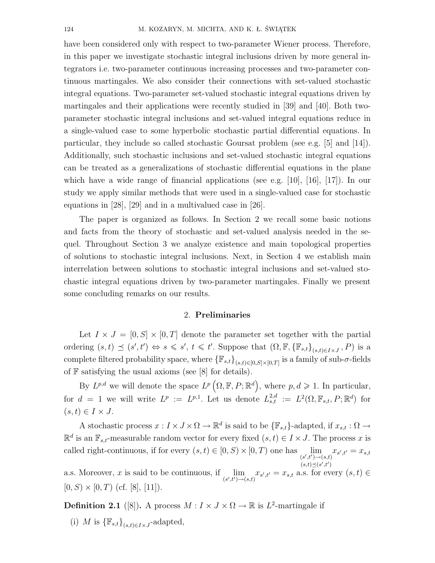have been considered only with respect to two-parameter Wiener process. Therefore, in this paper we investigate stochastic integral inclusions driven by more general integrators i.e. two-parameter continuous increasing processes and two-parameter continuous martingales. We also consider their connections with set-valued stochastic integral equations. Two-parameter set-valued stochastic integral equations driven by martingales and their applications were recently studied in [39] and [40]. Both twoparameter stochastic integral inclusions and set-valued integral equations reduce in a single-valued case to some hyperbolic stochastic partial differential equations. In particular, they include so called stochastic Goursat problem (see e.g. [5] and [14]). Additionally, such stochastic inclusions and set-valued stochastic integral equations can be treated as a generalizations of stochastic differential equations in the plane which have a wide range of financial applications (see e.g. [10], [16], [17]). In our study we apply similar methods that were used in a single-valued case for stochastic equations in [28], [29] and in a multivalued case in [26].

The paper is organized as follows. In Section 2 we recall some basic notions and facts from the theory of stochastic and set-valued analysis needed in the sequel. Throughout Section 3 we analyze existence and main topological properties of solutions to stochastic integral inclusions. Next, in Section 4 we establish main interrelation between solutions to stochastic integral inclusions and set-valued stochastic integral equations driven by two-parameter martingales. Finally we present some concluding remarks on our results.

### 2. **Preliminaries**

Let  $I \times J = [0, S] \times [0, T]$  denote the parameter set together with the partial ordering  $(s,t) \preceq (s',t') \Leftrightarrow s \leq s', t \leq t'$ . Suppose that  $(\Omega, \mathbb{F}, {\mathbb{F}_{s,t}}_{s,t\in I\times J}, P)$  is a complete filtered probability space, where  ${\mathbb{F}_{s,t}}_{(s,t)\in[0,S]\times[0,T]}$  is a family of sub-*σ*-fields of  $\mathbb F$  satisfying the usual axioms (see [8] for details).

By  $L^{p,d}$  we will denote the space  $L^p(\Omega, \mathbb{F}, P; \mathbb{R}^d)$ , where  $p, d \geqslant 1$ . In particular, for  $d = 1$  we will write  $L^p := L^{p,1}$ . Let us denote  $L^{2,d}_{s,t} := L^2(\Omega, \mathbb{F}_{s,t}, P; \mathbb{R}^d)$  for  $(s, t) \in I \times J$ .

A stochastic process  $x : I \times J \times \Omega \to \mathbb{R}^d$  is said to be  ${\{\mathbb{F}_{s,t}\}}$ -adapted, if  $x_{s,t} : \Omega \to$  $\mathbb{R}^d$  is an  $\mathbb{F}_{s,t}$ -measurable random vector for every fixed  $(s,t) \in I \times J$ . The process *x* is called right-continuous, if for every  $(s,t) \in [0, S) \times [0, T)$  one has  $\lim_{(s',t') \to (s,t)} x_{s',t'} = x_{s,t}$  $(s,t) \preceq (s',t')$ 

a.s. Moreover, *x* is said to be continuous, if  $\lim_{(s',t')\to(s,t)} x_{s',t'} = x_{s,t}$  a.s. for every  $(s,t) \in$  $[0, S) \times [0, T)$  (cf. [8], [11]).

**Definition 2.1** ([8]). A process  $M: I \times J \times \Omega \to \mathbb{R}$  is  $L^2$ -martingale if

(i) *M* is  ${\{\mathbb{F}_{s,t}\}}_{(s,t)\in I\times J}$ -adapted,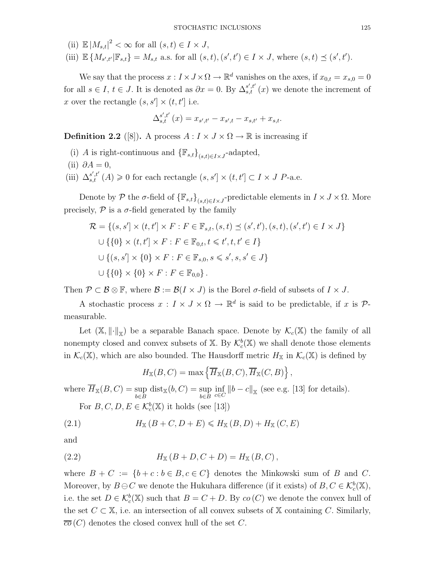- (ii)  $\mathbb{E}|M_{s,t}|^2 < \infty$  for all  $(s,t) \in I \times J$ ,
- (iii)  $\mathbb{E}\left\{M_{s',t'}| \mathbb{F}_{s,t}\right\}=M_{s,t}$  a.s. for all  $(s,t), (s',t')\in I\times J$ , where  $(s,t)\preceq (s',t')$ .

We say that the process  $x : I \times J \times \Omega \to \mathbb{R}^d$  vanishes on the axes, if  $x_{0,t} = x_{s,0} = 0$ for all  $s \in I$ ,  $t \in J$ . It is denoted as  $\partial x = 0$ . By  $\Delta_{s,t}^{s',t'}(x)$  we denote the increment of *x* over the rectangle  $(s, s'] \times (t, t']$  i.e.

$$
\Delta_{s,t}^{s',t'}(x) = x_{s',t'} - x_{s',t} - x_{s,t'} + x_{s,t}.
$$

**Definition 2.2** ([8]). A process  $A: I \times J \times \Omega \rightarrow \mathbb{R}$  is increasing if

- (i) *A* is right-continuous and  ${\{\mathbb{F}_{s,t}\}}_{(s,t)\in I\times J}$ -adapted,
- $(ii)$   $\partial A = 0$ ,
- (iii)  $\Delta_{s,t}^{s',t'}(A) \geq 0$  for each rectangle  $(s, s'] \times (t, t'] \subset I \times J$  P-a.e.

Denote by  $P$  the  $\sigma$ -field of  ${\{\mathbb{F}_{s,t}\}}_{(s,t)\in I\times J}$ -predictable elements in  $I\times J\times \Omega$ . More precisely,  $P$  is a  $\sigma$ -field generated by the family

$$
\mathcal{R} = \{(s, s'] \times (t, t') \times F : F \in \mathbb{F}_{s,t}, (s, t) \le (s', t'), (s, t), (s', t') \in I \times J\}
$$
  

$$
\cup \{\{0\} \times (t, t') \times F : F \in \mathbb{F}_{0,t}, t \le t', t, t' \in I\}
$$
  

$$
\cup \{(s, s') \times \{0\} \times F : F \in \mathbb{F}_{s,0}, s \le s', s, s' \in J\}
$$
  

$$
\cup \{\{0\} \times \{0\} \times F : F \in \mathbb{F}_{0,0}\}.
$$

Then  $\mathcal{P} \subset \mathcal{B} \otimes \mathbb{F}$ , where  $\mathcal{B} := \mathcal{B}(I \times J)$  is the Borel  $\sigma$ -field of subsets of  $I \times J$ .

A stochastic process  $x : I \times J \times \Omega \to \mathbb{R}^d$  is said to be predictable, if *x* is  $\mathcal{P}$ measurable.

Let  $(\mathbb{X}, \|\cdot\|_{\mathbb{X}})$  be a separable Banach space. Denote by  $\mathcal{K}_c(\mathbb{X})$  the family of all nonempty closed and convex subsets of  $X$ . By  $\mathcal{K}_c^b(X)$  we shall denote those elements in  $\mathcal{K}_c(\mathbb{X})$ , which are also bounded. The Hausdorff metric  $H_{\mathbb{X}}$  in  $\mathcal{K}_c(\mathbb{X})$  is defined by

$$
H_{\mathbb{X}}(B,C) = \max \left\{ \overline{H}_{\mathbb{X}}(B,C), \overline{H}_{\mathbb{X}}(C,B) \right\},\,
$$

where  $\overline{H}_{\mathbb{X}}(B,C) = \sup$ *b∈B*  $dist_{\mathbb{X}}(b, C) = \sup$ *b∈B*  $\inf_{c \in C}$  ||b − c||<sub>|x</sub> (see e.g. [13] for details).

For  $B, C, D, E \in \mathcal{K}_c^b(\mathbb{X})$  it holds (see [13])

(2.1) 
$$
H_{\mathbb{X}}(B+C, D+E) \leq H_{\mathbb{X}}(B, D) + H_{\mathbb{X}}(C, E)
$$

and

(2.2) 
$$
H_{X}(B+D, C+D) = H_{X}(B, C),
$$

where  $B + C := \{b + c : b \in B, c \in C\}$  denotes the Minkowski sum of *B* and *C*. Moreover, by  $B \ominus C$  we denote the Hukuhara difference (if it exists) of  $B, C \in \mathcal{K}_c^b(\mathbb{X}),$ i.e. the set  $D \in \mathcal{K}_c^b(\mathbb{X})$  such that  $B = C + D$ . By  $co(C)$  we denote the convex hull of the set  $C \subset X$ , i.e. an intersection of all convex subsets of X containing *C*. Similarly,  $\overline{co}(C)$  denotes the closed convex hull of the set *C*.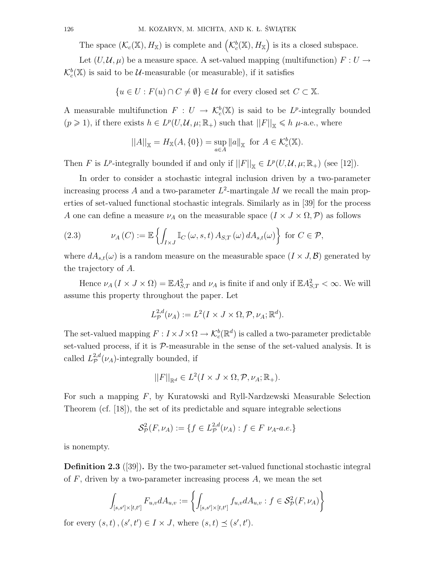The space  $(\mathcal{K}_c(\mathbb{X}), H_{\mathbb{X}})$  is complete and  $(\mathcal{K}_c^b(\mathbb{X}), H_{\mathbb{X}})$  is its a closed subspace.

Let  $(U, \mathcal{U}, \mu)$  be a measure space. A set-valued mapping (multifunction)  $F: U \rightarrow$  $\mathcal{K}_c^b(\mathbb{X})$  is said to be  $\mathcal{U}$ -measurable (or measurable), if it satisfies

$$
\{u \in U : F(u) \cap C \neq \emptyset\} \in \mathcal{U} \text{ for every closed set } C \subset \mathbb{X}.
$$

A measurable multifunction  $F: U \to \mathcal{K}_c^b(\mathbb{X})$  is said to be *L*<sup>*p*</sup>-integrally bounded  $(p \geq 1)$ , if there exists  $h \in L^p(U, \mathcal{U}, \mu; \mathbb{R}_+)$  such that  $||F||_{\mathbb{X}} \leq h \mu$ -a.e., where

$$
||A||_{\mathbb{X}} = H_{\mathbb{X}}(A, \{0\}) = \sup_{a \in A} ||a||_{\mathbb{X}} \text{ for } A \in \mathcal{K}_c^b(\mathbb{X}).
$$

Then *F* is *L*<sup>*p*</sup>-integrally bounded if and only if  $||F||_{\mathbb{X}} \in L^p(U, \mathcal{U}, \mu; \mathbb{R}_+)$  (see [12]).

In order to consider a stochastic integral inclusion driven by a two-parameter increasing process *A* and a two-parameter *L* 2 -martingale *M* we recall the main properties of set-valued functional stochastic integrals. Similarly as in [39] for the process *A* one can define a measure  $\nu_A$  on the measurable space  $(I \times J \times \Omega, P)$  as follows

(2.3) 
$$
\nu_A(C) := \mathbb{E}\left\{ \int_{I \times J} \mathbb{I}_C(\omega, s, t) \, A_{S,T}(\omega) \, dA_{s,t}(\omega) \right\} \text{ for } C \in \mathcal{P},
$$

where  $dA_{s,t}(\omega)$  is a random measure on the measurable space  $(I \times J, \mathcal{B})$  generated by the trajectory of *A*.

Hence  $\nu_A (I \times J \times \Omega) = \mathbb{E} A_{S,T}^2$  and  $\nu_A$  is finite if and only if  $\mathbb{E} A_{S,T}^2 < \infty$ . We will assume this property throughout the paper. Let

$$
L^{2,d}_\mathcal{P}(\nu_A) := L^2(I \times J \times \Omega, \mathcal{P}, \nu_A; \mathbb{R}^d).
$$

The set-valued mapping  $F: I \times J \times \Omega \to \mathcal{K}_c^b(\mathbb{R}^d)$  is called a two-parameter predictable set-valued process, if it is  $P$ -measurable in the sense of the set-valued analysis. It is called  $L^{2,d}_{\mathcal{P}}(\nu_A)$ -integrally bounded, if

$$
||F||_{\mathbb{R}^d} \in L^2(I \times J \times \Omega, \mathcal{P}, \nu_A; \mathbb{R}_+).
$$

For such a mapping *F*, by Kuratowski and Ryll-Nardzewski Measurable Selection Theorem (cf. [18]), the set of its predictable and square integrable selections

$$
\mathcal{S}_{\mathcal{P}}^2(F,\nu_A) := \{ f \in L_{\mathcal{P}}^{2,d}(\nu_A) : f \in F \ \nu_A \text{-}a.e. \}
$$

is nonempty.

**Definition 2.3** ([39])**.** By the two-parameter set-valued functional stochastic integral of *F*, driven by a two-parameter increasing process *A*, we mean the set

$$
\int_{[s,s']\times[t,t']}F_{u,v}dA_{u,v}:=\left\{\int_{[s,s']\times[t,t']}f_{u,v}dA_{u,v}:f\in\mathcal{S}_{\mathcal{P}}^2(F,\nu_A)\right\}
$$

for every  $(s, t)$ ,  $(s', t') \in I \times J$ , where  $(s, t) \preceq (s', t')$ .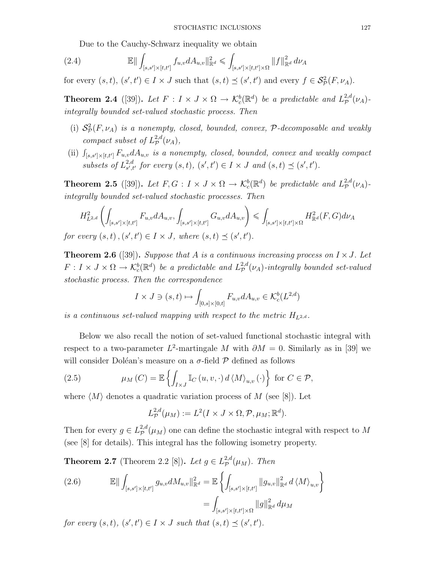Due to the Cauchy-Schwarz inequality we obtain

(2.4) 
$$
\mathbb{E} \|\int_{[s,s']\times [t,t']} f_{u,v} dA_{u,v} \|_{\mathbb{R}^d}^2 \leq \int_{[s,s']\times [t,t']\times \Omega} \|f\|_{\mathbb{R}^d}^2 d\nu_A
$$

for every  $(s, t), (s', t') \in I \times J$  such that  $(s, t) \preceq (s', t')$  and every  $f \in \mathcal{S}_{\mathcal{P}}^2(F, \nu_A)$ .

**Theorem 2.4** ([39]). Let  $F: I \times J \times \Omega \rightarrow K_c^b(\mathbb{R}^d)$  be a predictable and  $L^{2,d}_{\mathcal{P}}$ *P* (*νA*) *integrally bounded set-valued stochastic process. Then*

- (i)  $S^2_{\mathcal{P}}(F, \nu_A)$  *is a nonempty, closed, bounded, convex,*  $\mathcal{P}$ -decomposable and weakly *compact subset of*  $L^{2,d}_{\mathcal{P}}(\nu_A)$ *,*
- (ii)  $\int_{[s,s']\times[t,t']} F_{u,v} dA_{u,v}$  *is a nonempty, closed, bounded, convex and weakly compact subsets of*  $L^{2,d}_{s',t}$  ${}_{s',t'}^{2,d}$  for every  $(s,t)$ ,  $(s',t') \in I \times J$  and  $(s,t) \preceq (s',t')$ .

**Theorem 2.5** ([39]). Let  $F, G: I \times J \times \Omega \rightarrow \mathcal{K}_c^b(\mathbb{R}^d)$  be predictable and  $L^{2,d}_{\mathcal{P}}$ *P* (*νA*) *integrally bounded set-valued stochastic processes. Then*

$$
H_{L^{2,d}}^{2}\left(\int_{[s,s']\times[t,t']}F_{u,v}dA_{u,v},\int_{[s,s']\times[t,t']}G_{u,v}dA_{u,v}\right)\leqslant\int_{[s,s']\times[t,t']\times\Omega}H_{\mathbb{R}^{d}}^{2}(F,G)d\nu_{A}
$$
  
for every  $(s,t)$ ,  $(s',t')\in I\times J$ , where  $(s,t)\preceq(s',t')$ .

**Theorem 2.6** ([39]). *Suppose that A is a continuous increasing process on*  $I \times J$ *. Let*  $F: I \times J \times \Omega \to \mathcal{K}_c^b(\mathbb{R}^d)$  *be a predictable and*  $L^{2,d}_\mathcal{P}(\nu_A)$ *-integrally bounded set-valued stochastic process. Then the correspondence*

$$
I \times J \ni (s, t) \mapsto \int_{[0,s] \times [0,t]} F_{u,v} dA_{u,v} \in \mathcal{K}_c^b(L^{2,d})
$$

*is a continuous set-valued mapping with respect to the metric*  $H_{L^{2,d}}$ .

Below we also recall the notion of set-valued functional stochastic integral with respect to a two-parameter  $L^2$ -martingale *M* with  $\partial M = 0$ . Similarly as in [39] we will consider Doléan's measure on a  $\sigma$ -field  $\mathcal P$  defined as follows

(2.5) 
$$
\mu_M(C) = \mathbb{E}\left\{\int_{I\times J} \mathbb{I}_C(u, v, \cdot) d \langle M \rangle_{u, v}(\cdot)\right\} \text{ for } C \in \mathcal{P},
$$

where  $\langle M \rangle$  denotes a quadratic variation process of M (see [8]). Let

$$
L^{2,d}_{\mathcal{P}}(\mu_M) := L^2(I \times J \times \Omega, \mathcal{P}, \mu_M; \mathbb{R}^d).
$$

Then for every  $g \in L^{2,d}_p(\mu_M)$  one can define the stochastic integral with respect to M (see [8] for details). This integral has the following isometry property.

**Theorem 2.7** (Theorem 2.2 [8]). *Let*  $g \in L^{2,d}_p(\mu_M)$ . *Then* 

(2.6) 
$$
\mathbb{E} \|\int_{[s,s']\times[t,t']} g_{u,v} dM_{u,v} \|_{\mathbb{R}^d}^2 = \mathbb{E} \left\{ \int_{[s,s']\times[t,t']} \|g_{u,v} \|_{\mathbb{R}^d}^2 d \langle M \rangle_{u,v} \right\} = \int_{[s,s']\times[t,t']\times\Omega} \|g\|_{\mathbb{R}^d}^2 d\mu_M
$$

*for every*  $(s, t)$ *,*  $(s', t') \in I \times J$  *such that*  $(s, t) \preceq (s', t')$ *.*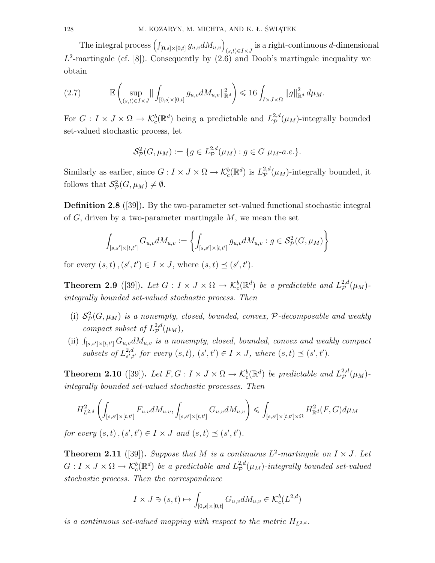The integral process  $\left(\int_{[0,s]\times[0,t]} g_{u,v} dM_{u,v}\right)_{(s,t)\in I\times J}$  is a right-continuous *d*-dimensional  $L^2$ -martingale (cf. [8]). Consequently by  $(2.6)$  and Doob's martingale inequality we obtain

$$
(2.7) \t\t\t\t\mathbb{E}\left(\sup_{(s,t)\in I\times J} \|\int_{[0,s]\times[0,t]} g_{u,v} dM_{u,v}\|_{\mathbb{R}^d}^2\right) \leq 16 \int_{I\times J\times\Omega} \|g\|_{\mathbb{R}^d}^2 d\mu_M.
$$

For  $G: I \times J \times \Omega \to \mathcal{K}_c^b(\mathbb{R}^d)$  being a predictable and  $L^{2,d}_{\mathcal{P}}$  $p^{2,a}(\mu_M)$ -integrally bounded set-valued stochastic process, let

$$
\mathcal{S}_{\mathcal{P}}^{2}(G,\mu_{M}) := \{ g \in L_{\mathcal{P}}^{2,d}(\mu_{M}) : g \in G \mu_{M} \text{-a.e.} \}.
$$

Similarly as earlier, since  $G: I \times J \times \Omega \to \mathcal{K}_c^b(\mathbb{R}^d)$  is  $L^{2,d}_{\mathcal{P}}$  $p^{2,a}(\mu_M)$ -integrally bounded, it follows that  $\mathcal{S}_{\mathcal{P}}^2(G, \mu_M) \neq \emptyset$ .

**Definition 2.8** ([39])**.** By the two-parameter set-valued functional stochastic integral of *G*, driven by a two-parameter martingale *M*, we mean the set

$$
\int_{[s,s']\times[t,t']}G_{u,v}dM_{u,v}:=\left\{\int_{[s,s']\times[t,t']}g_{u,v}dM_{u,v}:g\in\mathcal{S}_{\mathcal{P}}^2(G,\mu_M)\right\}
$$

for every  $(s, t)$ ,  $(s', t') \in I \times J$ , where  $(s, t) \preceq (s', t')$ .

**Theorem 2.9** ([39]). Let  $G: I \times J \times \Omega \rightarrow K_c^b(\mathbb{R}^d)$  be a predictable and  $L^{2,d}_p(\mu_M)$ *integrally bounded set-valued stochastic process. Then*

- (i)  $S^2_{\mathcal{P}}(G, \mu_M)$  *is a nonempty, closed, bounded, convex,*  $\mathcal{P}$ -decomposable and weakly *compact subset of*  $L^{2,d}_p(\mu_M)$ *,*
- (ii)  $\int_{[s,s']\times[t,t']} G_{u,v} dM_{u,v}$  *is a nonempty, closed, bounded, convex and weakly compact subsets of*  $L^{2,d}_{s',t}$  ${}_{s',t'}^{2,d}$  for every  $(s,t), (s',t') \in I \times J$ , where  $(s,t) \preceq (s',t')$ .

**Theorem 2.10** ([39]). Let  $F, G: I \times J \times \Omega \to \mathcal{K}_c^b(\mathbb{R}^d)$  be predictable and  $L^{2,d}_{\mathcal{P}}$  $_{\mathcal{P}}^{2,a}(\mu_M)$ *integrally bounded set-valued stochastic processes. Then*

$$
H_{L^{2,d}}^{2}\left(\int_{[s,s']\times[t,t']}F_{u,v}dM_{u,v},\int_{[s,s']\times[t,t']}G_{u,v}dM_{u,v}\right)\leqslant\int_{[s,s']\times[t,t']\times\Omega}H_{\mathbb{R}^{d}}^{2}(F,G)d\mu_{M}
$$

*for every*  $(s, t)$ ,  $(s', t') \in I \times J$  *and*  $(s, t) \preceq (s', t')$ *.* 

**Theorem 2.11** ([39]). Suppose that *M* is a continuous  $L^2$ -martingale on  $I \times J$ . Let  $G: I \times J \times \Omega \to \mathcal{K}_c^b(\mathbb{R}^d)$  be a predictable and  $L^{2,d}_\mathcal{P}(\mu_M)$ -integrally bounded set-valued *stochastic process. Then the correspondence*

$$
I \times J \ni (s, t) \mapsto \int_{[0,s] \times [0,t]} G_{u,v} dM_{u,v} \in \mathcal{K}_c^b(L^{2,d})
$$

*is a continuous set-valued mapping with respect to the metric*  $H_{L^{2,d}}$ .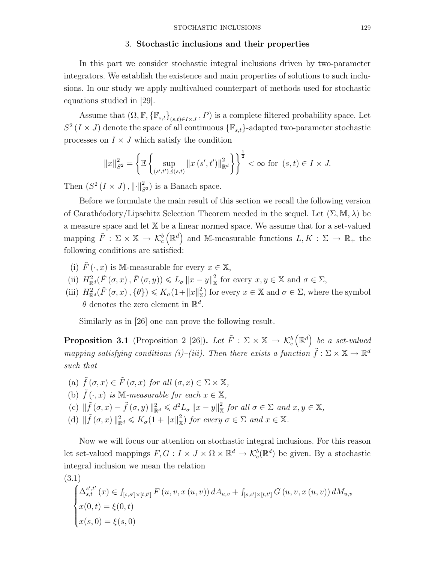#### 3. **Stochastic inclusions and their properties**

In this part we consider stochastic integral inclusions driven by two-parameter integrators. We establish the existence and main properties of solutions to such inclusions. In our study we apply multivalued counterpart of methods used for stochastic equations studied in [29].

Assume that  $(\Omega, \mathbb{F}, \{\mathbb{F}_{s,t}\}_{(s,t)\in I\times J}, P)$  is a complete filtered probability space. Let  $S^2$  (*I* × *J*) denote the space of all continuous  $\{\mathbb{F}_{s,t}\}$ -adapted two-parameter stochastic processes on  $I \times J$  which satisfy the condition

$$
||x||_{S^2}^2 = \left\{ \mathbb{E} \left\{ \sup_{(s',t') \preceq (s,t)} ||x(s',t')||_{\mathbb{R}^d}^2 \right\} \right\}^{\frac{1}{2}} < \infty \text{ for } (s,t) \in I \times J.
$$

Then  $(S^2 (I \times J), \|\cdot\|_{S^2}^2)$  is a Banach space.

Before we formulate the main result of this section we recall the following version of Carath´eodory/Lipschitz Selection Theorem needed in the sequel. Let (Σ*,* M*, λ*) be a measure space and let X be a linear normed space. We assume that for a set-valued mapping  $\tilde{F}$  :  $\Sigma \times \mathbb{X} \rightarrow \mathcal{K}_c^b$  $(\mathbb{R}^d)$  and M-measurable functions  $L, K : \Sigma \to \mathbb{R}_+$  the following conditions are satisfied:

- (i)  $\hat{F}(\cdot, x)$  is M-measurable for every  $x \in \mathbb{X}$ ,
- (ii)  $H_{\mathbb{R}^d}^2(\tilde{F}(\sigma, x), \tilde{F}(\sigma, y)) \le L_\sigma \|x y\|_{\mathbb{X}}^2$  for every  $x, y \in \mathbb{X}$  and  $\sigma \in \Sigma$ ,
- (iii)  $H_{\mathbb{R}^d}^2(\tilde{F}(\sigma, x), \{\theta\}) \leqslant K_\sigma(1 + \|x\|_{\mathbb{X}}^2)$  for every  $x \in \mathbb{X}$  and  $\sigma \in \Sigma$ , where the symbol  $\theta$  denotes the zero element in  $\mathbb{R}^d$ .

Similarly as in [26] one can prove the following result.

**Proposition 3.1** (Proposition 2 [26]). Let  $\tilde{F}$  :  $\Sigma \times \mathbb{X} \rightarrow \mathcal{K}_c^b$  R *d be a set-valued mapping satisfying conditions (i)–(iii). Then there exists a function*  $\tilde{f}: \Sigma \times \mathbb{X} \to \mathbb{R}^d$ *such that*

(a)  $\tilde{f}(\sigma, x) \in \tilde{F}(\sigma, x)$  *for all*  $(\sigma, x) \in \Sigma \times \mathbb{X}$ *,* (b)  $\tilde{f}(\cdot, x)$  *is* M-measurable for each  $x \in \mathbb{X}$ , (c)  $\|\tilde{f}(\sigma,x)-\tilde{f}(\sigma,y)\|_{\mathbb{R}^d}^2 \leq d^2L_{\sigma} \|x-y\|_{\mathbb{X}}^2$  for all  $\sigma \in \Sigma$  and  $x, y \in \mathbb{X}$ , (d)  $\|\tilde{f}(\sigma, x)\|_{\mathbb{R}^d}^2 \leq K_\sigma(1 + \|x\|_{\mathbb{X}}^2)$  for every  $\sigma \in \Sigma$  and  $x \in \mathbb{X}$ .

Now we will focus our attention on stochastic integral inclusions. For this reason let set-valued mappings  $F, G: I \times J \times \Omega \times \mathbb{R}^d \to \mathcal{K}_c^b(\mathbb{R}^d)$  be given. By a stochastic integral inclusion we mean the relation

$$
(3.1)
$$

$$
\begin{cases}\n\Delta_{s,t}^{s',t'}(x) \in \int_{[s,s'] \times [t,t']} F(u,v,x(u,v)) dA_{u,v} + \int_{[s,s'] \times [t,t']} G(u,v,x(u,v)) dM_{u,v} \\
x(0,t) = \xi(0,t) \\
x(s,0) = \xi(s,0)\n\end{cases}
$$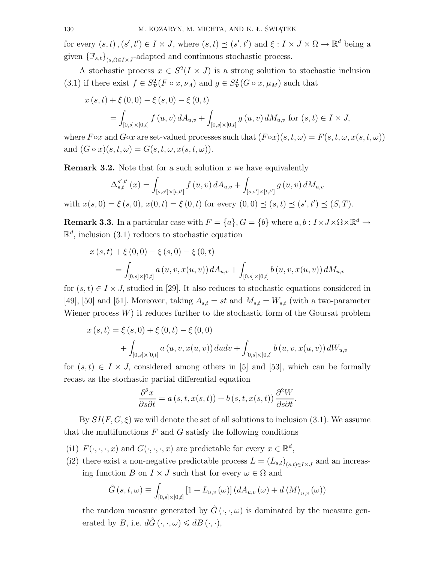for every  $(s, t), (s', t') \in I \times J$ , where  $(s, t) \preceq (s', t')$  and  $\xi : I \times J \times \Omega \to \mathbb{R}^d$  being a given  ${\{\mathbb{F}_{s,t}\}}_{(s,t)\in I\times J}$ -adapted and continuous stochastic process.

A stochastic process  $x \in S^2(I \times J)$  is a strong solution to stochastic inclusion (3.1) if there exist  $f \in S^2_{\mathcal{P}}(F \circ x, \nu_A)$  and  $g \in S^2_{\mathcal{P}}(G \circ x, \mu_M)$  such that

$$
x(s,t) + \xi(0,0) - \xi(s,0) - \xi(0,t)
$$
  
= 
$$
\int_{[0,s] \times [0,t]} f(u,v) dA_{u,v} + \int_{[0,s] \times [0,t]} g(u,v) dM_{u,v} \text{ for } (s,t) \in I \times J,
$$

where  $F \circ x$  and  $G \circ x$  are set-valued processes such that  $(F \circ x)(s, t, \omega) = F(s, t, \omega, x(s, t, \omega))$ and  $(G \circ x)(s, t, \omega) = G(s, t, \omega, x(s, t, \omega)).$ 

**Remark 3.2.** Note that for a such solution *x* we have equivalently

$$
\Delta_{s,t}^{s',t'}(x) = \int_{[s,s']\times[t,t']} f(u,v) dA_{u,v} + \int_{[s,s']\times[t,t']} g(u,v) dM_{u,v}
$$
  
with  $x(s,0) = \xi(s,0), x(0,t) = \xi(0,t)$  for every  $(0,0) \le (s,t) \le (s',t') \le (S,T)$ .

**Remark 3.3.** In a particular case with  $F = \{a\}$ ,  $G = \{b\}$  where  $a, b : I \times J \times \Omega \times \mathbb{R}^d \to$  $\mathbb{R}^d$ , inclusion (3.1) reduces to stochastic equation

$$
x(s,t) + \xi(0,0) - \xi(s,0) - \xi(0,t)
$$
  
= 
$$
\int_{[0,s] \times [0,t]} a(u,v,x(u,v)) dA_{u,v} + \int_{[0,s] \times [0,t]} b(u,v,x(u,v)) dM_{u,v}
$$

for  $(s, t) \in I \times J$ , studied in [29]. It also reduces to stochastic equations considered in [49], [50] and [51]. Moreover, taking  $A_{s,t} = st$  and  $M_{s,t} = W_{s,t}$  (with a two-parameter Wiener process  $W$ ) it reduces further to the stochastic form of the Goursat problem

$$
x(s,t) = \xi(s,0) + \xi(0,t) - \xi(0,0)
$$
  
+ 
$$
\int_{[0,s] \times [0,t]} a(u,v,x(u,v)) du dv + \int_{[0,s] \times [0,t]} b(u,v,x(u,v)) dW_{u,v}
$$

for  $(s, t) \in I \times J$ , considered among others in [5] and [53], which can be formally recast as the stochastic partial differential equation

$$
\frac{\partial^2 x}{\partial s \partial t} = a(s, t, x(s, t)) + b(s, t, x(s, t)) \frac{\partial^2 W}{\partial s \partial t}.
$$

By  $SI(F, G, \xi)$  we will denote the set of all solutions to inclusion (3.1). We assume that the multifunctions *F* and *G* satisfy the following conditions

- (i1)  $F(\cdot, \cdot, \cdot, x)$  and  $G(\cdot, \cdot, \cdot, x)$  are predictable for every  $x \in \mathbb{R}^d$ ,
- (i2) there exist a non-negative predictable process  $L = (L_{s,t})_{(s,t) \in I \times J}$  and an increasing function *B* on  $I \times J$  such that for every  $\omega \in \Omega$  and

$$
\hat{G}(s,t,\omega) \equiv \int_{[0,s] \times [0,t]} \left[1 + L_{u,v}(\omega)\right] \left(dA_{u,v}(\omega) + d\left\langle M \right\rangle_{u,v}(\omega)\right)
$$

the random measure generated by  $\hat{G}(\cdot, \cdot, \omega)$  is dominated by the measure generated by *B*, i.e.  $d\hat{G}(\cdot, \cdot, \omega) \leq dB(\cdot, \cdot),$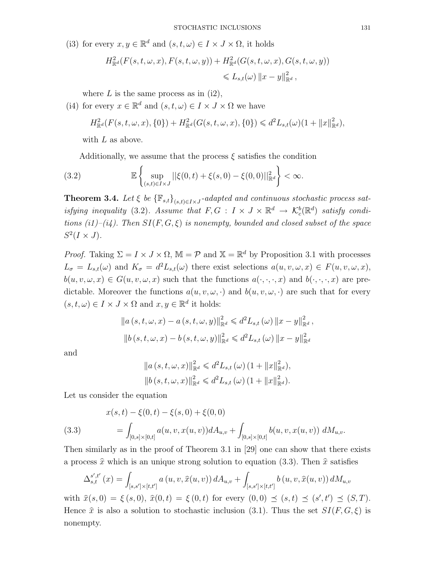(i3) for every  $x, y \in \mathbb{R}^d$  and  $(s, t, \omega) \in I \times J \times \Omega$ , it holds

$$
H_{\mathbb{R}^d}^2(F(s,t,\omega,x),F(s,t,\omega,y)) + H_{\mathbb{R}^d}^2(G(s,t,\omega,x),G(s,t,\omega,y))
$$
  

$$
\leq L_{s,t}(\omega) \|x-y\|_{\mathbb{R}^d}^2,
$$

where  $L$  is the same process as in  $(i2)$ ,

(i4) for every  $x \in \mathbb{R}^d$  and  $(s, t, \omega) \in I \times J \times \Omega$  we have

$$
H_{\mathbb{R}^d}^2(F(s,t,\omega,x),\{0\}) + H_{\mathbb{R}^d}^2(G(s,t,\omega,x),\{0\}) \leq d^2 L_{s,t}(\omega) (1 + \|x\|_{\mathbb{R}^d}^2),
$$

with *L* as above.

Additionally, we assume that the process  $\xi$  satisfies the condition

(3.2) 
$$
\mathbb{E}\left\{\sup_{(s,t)\in I\times J}||\xi(0,t)+\xi(s,0)-\xi(0,0)||_{\mathbb{R}^d}^2\right\}<\infty.
$$

**Theorem 3.4.** *Let*  $\xi$  *be*  ${\{\mathbb{F}_{s,t}\}}_{(s,t)\in I\times J}$ -adapted and continuous stochastic process sat*isfying inequality* (3.2)*.* Assume that  $F, G : I \times J \times \mathbb{R}^d \to \mathcal{K}_c^b(\mathbb{R}^d)$  satisfy condi*tions (i1)–(i4). Then SI*(*F, G, ξ*) *is nonempty, bounded and closed subset of the space*  $S^2(I \times J)$ .

*Proof.* Taking  $\Sigma = I \times J \times \Omega$ ,  $\mathbb{M} = \mathcal{P}$  and  $\mathbb{X} = \mathbb{R}^d$  by Proposition 3.1 with processes  $L_{\sigma} = L_{s,t}(\omega)$  and  $K_{\sigma} = d^2 L_{s,t}(\omega)$  there exist selections  $a(u, v, \omega, x) \in F(u, v, \omega, x)$ ,  $b(u, v, \omega, x) \in G(u, v, \omega, x)$  such that the functions  $a(\cdot, \cdot, \cdot, x)$  and  $b(\cdot, \cdot, \cdot, x)$  are predictable. Moreover the functions  $a(u, v, \omega, \cdot)$  and  $b(u, v, \omega, \cdot)$  are such that for every  $(s, t, \omega) \in I \times J \times \Omega$  and  $x, y \in \mathbb{R}^d$  it holds:

$$
\|a(s,t,\omega,x) - a(s,t,\omega,y)\|_{\mathbb{R}^d}^2 \leq d^2 L_{s,t}(\omega) \|x - y\|_{\mathbb{R}^d}^2,
$$
  

$$
\|b(s,t,\omega,x) - b(s,t,\omega,y)\|_{\mathbb{R}^d}^2 \leq d^2 L_{s,t}(\omega) \|x - y\|_{\mathbb{R}^d}^2
$$

and

$$
||a(s, t, \omega, x)||_{\mathbb{R}^d}^2 \leq d^2 L_{s,t}(\omega) (1 + ||x||_{\mathbb{R}^d}^2),
$$
  

$$
||b(s, t, \omega, x)||_{\mathbb{R}^d}^2 \leq d^2 L_{s,t}(\omega) (1 + ||x||_{\mathbb{R}^d}^2).
$$

Let us consider the equation

(3.3) 
$$
x(s,t) - \xi(0,t) - \xi(s,0) + \xi(0,0)
$$

$$
= \int_{[0,s] \times [0,t]} a(u,v,x(u,v)) dA_{u,v} + \int_{[0,s] \times [0,t]} b(u,v,x(u,v)) dM_{u,v}.
$$

Then similarly as in the proof of Theorem 3.1 in [29] one can show that there exists a process  $\hat{x}$  which is an unique strong solution to equation (3.3). Then  $\hat{x}$  satisfies

$$
\Delta_{s,t}^{s',t'}(x) = \int_{[s,s']\times[t,t']} a(u,v,\widehat{x}(u,v)) dA_{u,v} + \int_{[s,s']\times[t,t']} b(u,v,\widehat{x}(u,v)) dM_{u,v}
$$

with  $\hat{x}(s, 0) = \xi(s, 0), \ \hat{x}(0, t) = \xi(0, t)$  for every  $(0, 0) \preceq (s, t) \preceq (s', t') \preceq (S, T)$ . Hence  $\hat{x}$  is also a solution to stochastic inclusion (3.1). Thus the set  $SI(F, G, \xi)$  is nonempty.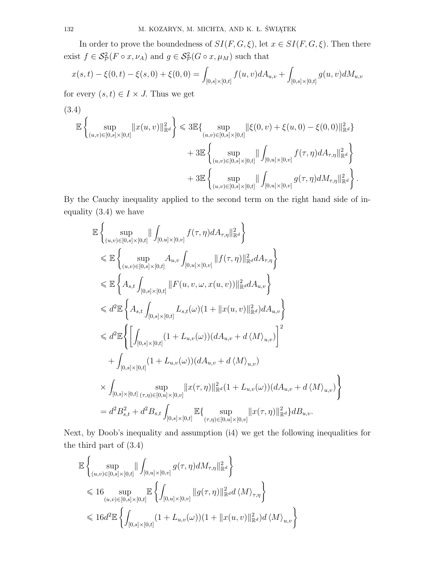In order to prove the boundedness of  $SI(F, G, \xi)$ , let  $x \in SI(F, G, \xi)$ . Then there exist  $f \in \mathcal{S}_{\mathcal{P}}^2(F \circ x, \nu_A)$  and  $g \in \mathcal{S}_{\mathcal{P}}^2(G \circ x, \mu_M)$  such that

$$
x(s,t) - \xi(0,t) - \xi(s,0) + \xi(0,0) = \int_{[0,s] \times [0,t]} f(u,v) dA_{u,v} + \int_{[0,s] \times [0,t]} g(u,v) dM_{u,v}
$$

for every  $(s, t) \in I \times J$ . Thus we get

(3.4)  
\n
$$
\mathbb{E}\left\{\sup_{(u,v)\in[0,s]\times[0,t]}\|x(u,v)\|_{\mathbb{R}^d}^2\right\} \leq 3\mathbb{E}\left\{\sup_{(u,v)\in[0,s]\times[0,t]}\|\xi(0,v)+\xi(u,0)-\xi(0,0)\|_{\mathbb{R}^d}^2\right\} + 3\mathbb{E}\left\{\sup_{(u,v)\in[0,s]\times[0,t]}\|\int_{[0,u]\times[0,v]}f(\tau,\eta)dA_{\tau,\eta}\|_{\mathbb{R}^d}^2\right\} + 3\mathbb{E}\left\{\sup_{(u,v)\in[0,s]\times[0,t]}\|\int_{[0,u]\times[0,v]}g(\tau,\eta)dM_{\tau,\eta}\|_{\mathbb{R}^d}^2\right\}.
$$

By the Cauchy inequality applied to the second term on the right hand side of inequality (3.4) we have

$$
\mathbb{E}\left\{\sup_{(u,v)\in[0,s]\times[0,t]} \|\int_{[0,u]\times[0,v]} f(\tau,\eta) dA_{\tau,\eta}\|_{\mathbb{R}^{d}}^{2}\right\}\n\leq \mathbb{E}\left\{\sup_{(u,v)\in[0,s]\times[0,t]} A_{u,v}\int_{[0,u]\times[0,v]} \|f(\tau,\eta)\|_{\mathbb{R}^{d}}^{2} dA_{\tau,\eta}\right\}\n\leq \mathbb{E}\left\{A_{s,t}\int_{[0,s]\times[0,t]} \|F(u,v,\omega,x(u,v))\|_{\mathbb{R}^{d}}^{2} dA_{u,v}\right\}\n\leq d^{2}\mathbb{E}\left\{A_{s,t}\int_{[0,s]\times[0,t]} L_{s,t}(\omega)(1+\|x(u,v)\|_{\mathbb{R}^{d}}^{2}) dA_{u,v}\right\}\n\leq d^{2}\mathbb{E}\left\{\left[\int_{[0,s]\times[0,t]} (1+L_{u,v}(\omega))(dA_{u,v}+d\langle M\rangle_{u,v})\right]^{2}\n+\int_{[0,s]\times[0,t]} (1+L_{u,v}(\omega))(dA_{u,v}+d\langle M\rangle_{u,v})\n\times\int_{[0,s]\times[0,t]} \sup_{(\tau,\eta)\in[0,u]\times[0,v]} \|x(\tau,\eta)\|_{\mathbb{R}^{d}}^{2} (1+L_{u,v}(\omega))(dA_{u,v}+d\langle M\rangle_{u,v})\right\}\n= d^{2}B_{s,t}^{2}+d^{2}B_{s,t}\int_{[0,s]\times[0,t]} \mathbb{E}\left\{\sup_{(\tau,\eta)\in[0,u]\times[0,v]} \|x(\tau,\eta)\|_{\mathbb{R}^{d}}^{2}\right\}dB_{u,v}.
$$

Next, by Doob's inequality and assumption (i4) we get the following inequalities for the third part of (3.4)

$$
\mathbb{E}\left\{\sup_{(u,v)\in[0,s]\times[0,t]}\|\int_{[0,u]\times[0,v]}g(\tau,\eta)dM_{\tau,\eta}\|_{\mathbb{R}^d}^2\right\}\leq 16 \sup_{(u,v)\in[0,s]\times[0,t]}\mathbb{E}\left\{\int_{[0,u]\times[0,v]}||g(\tau,\eta)||_{\mathbb{R}^d}^2d\langle M\rangle_{\tau,\eta}\right\}\leq 16d^2\mathbb{E}\left\{\int_{[0,s]\times[0,t]}(1+L_{u,v}(\omega))(1+||x(u,v)||_{\mathbb{R}^d}^2)d\langle M\rangle_{u,v}\right\}
$$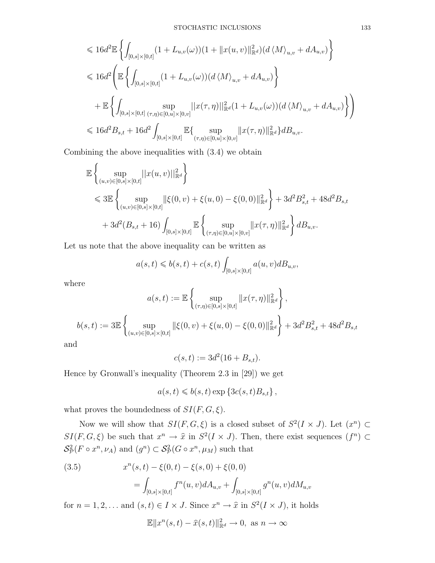$$
\leq 16d^{2} \mathbb{E} \left\{ \int_{[0,s] \times [0,t]} (1 + L_{u,v}(\omega))(1 + ||x(u,v)||^{2}_{\mathbb{R}^{d}})(d\langle M \rangle_{u,v} + dA_{u,v}) \right\}
$$
  
\n
$$
\leq 16d^{2} \left( \mathbb{E} \left\{ \int_{[0,s] \times [0,t]} (1 + L_{u,v}(\omega))(d\langle M \rangle_{u,v} + dA_{u,v}) \right\}
$$
  
\n
$$
+ \mathbb{E} \left\{ \int_{[0,s] \times [0,t] } \sup_{(\tau,\eta) \in [0,u] \times [0,v]} ||x(\tau,\eta)||^{2}_{\mathbb{R}^{d}}(1 + L_{u,v}(\omega))(d\langle M \rangle_{u,v} + dA_{u,v}) \right\} \right\}
$$
  
\n
$$
\leq 16d^{2} B_{s,t} + 16d^{2} \int_{[0,s] \times [0,t]} \mathbb{E} \left\{ \sup_{(\tau,\eta) \in [0,u] \times [0,v]} ||x(\tau,\eta)||^{2}_{\mathbb{R}^{d}} \right\} dB_{u,v}.
$$

Combining the above inequalities with (3.4) we obtain

$$
\mathbb{E}\left\{\sup_{(u,v)\in[0,s]\times[0,t]}||x(u,v)||^2_{\mathbb{R}^d}\right\}\leq \mathfrak{B}\mathbb{E}\left\{\sup_{(u,v)\in[0,s]\times[0,t]}||\xi(0,v)+\xi(u,0)-\xi(0,0)||^2_{\mathbb{R}^d}\right\}+3d^2B_{s,t}^2+48d^2B_{s,t}+3d^2(B_{s,t}+16)\int_{[0,s]\times[0,t]} \mathbb{E}\left\{\sup_{(\tau,\eta)\in[0,u]\times[0,v]}||x(\tau,\eta)||^2_{\mathbb{R}^d}\right\}dB_{u,v}.
$$

Let us note that the above inequality can be written as

$$
a(s,t) \leqslant b(s,t) + c(s,t) \int_{[0,s] \times [0,t]} a(u,v) dB_{u,v},
$$

where

$$
a(s,t) := \mathbb{E}\left\{\sup_{(\tau,\eta)\in[0,s]\times[0,t]}\|x(\tau,\eta)\|_{\mathbb{R}^d}^2\right\},
$$
  

$$
b(s,t) := 3\mathbb{E}\left\{\sup_{(u,v)\in[0,s]\times[0,t]}\|\xi(0,v) + \xi(u,0) - \xi(0,0)\|_{\mathbb{R}^d}^2\right\} + 3d^2B_{s,t}^2 + 48d^2B_{s,t}
$$

and

$$
c(s,t) := 3d^2(16 + B_{s,t}).
$$

Hence by Gronwall's inequality (Theorem 2.3 in [29]) we get

$$
a(s,t) \leqslant b(s,t) \exp \left\{ 3c(s,t)B_{s,t} \right\},\,
$$

what proves the boundedness of  $SI(F, G, \xi)$ .

Now we will show that  $SI(F, G, \xi)$  is a closed subset of  $S^2(I \times J)$ . Let  $(x^n) \subset$  $SI(F, G, \xi)$  be such that  $x^n \to \hat{x}$  in  $S^2(I \times J)$ . Then, there exist sequences  $(f^n) \subset$  $\mathcal{S}_{\mathcal{P}}^2(F \circ x^n, \nu_A)$  and  $(g^n) \subset \mathcal{S}_{\mathcal{P}}^2(G \circ x^n, \mu_M)$  such that

(3.5) 
$$
x^{n}(s,t) - \xi(0,t) - \xi(s,0) + \xi(0,0)
$$

$$
= \int_{[0,s] \times [0,t]} f^{n}(u,v) dA_{u,v} + \int_{[0,s] \times [0,t]} g^{n}(u,v) dM_{u,v}
$$

for  $n = 1, 2, \ldots$  and  $(s, t) \in I \times J$ . Since  $x^n \to \hat{x}$  in  $S^2(I \times J)$ , it holds

$$
\mathbb{E} \|x^n(s,t) - \hat{x}(s,t)\|_{\mathbb{R}^d}^2 \to 0, \text{ as } n \to \infty
$$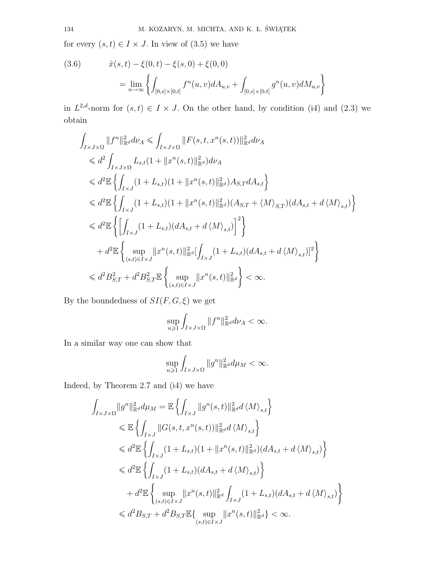for every  $(s, t) \in I \times J$ . In view of  $(3.5)$  we have

(3.6) 
$$
\hat{x}(s,t) - \xi(0,t) - \xi(s,0) + \xi(0,0)
$$

$$
= \lim_{n \to \infty} \left\{ \int_{[0,s] \times [0,t]} f^n(u,v) dA_{u,v} + \int_{[0,s] \times [0,t]} g^n(u,v) dM_{u,v} \right\}
$$

in  $L^{2,d}$ -norm for  $(s,t) \in I \times J$ . On the other hand, by condition (i4) and (2.3) we obtain

$$
\int_{I \times J \times \Omega} ||f^n||_{\mathbb{R}^d}^2 d\nu_A \leq \int_{I \times J \times \Omega} ||F(s, t, x^n(s, t))||_{\mathbb{R}^d}^2 d\nu_A
$$
\n
$$
\leq d^2 \int_{I \times J \times \Omega} L_{s,t} (1 + ||x^n(s, t)||_{\mathbb{R}^d}^2) d\nu_A
$$
\n
$$
\leq d^2 \mathbb{E} \left\{ \int_{I \times J} (1 + L_{s,t}) (1 + ||x^n(s, t)||_{\mathbb{R}^d}^2) A_{S,T} dA_{s,t} \right\}
$$
\n
$$
\leq d^2 \mathbb{E} \left\{ \int_{I \times J} (1 + L_{s,t}) (1 + ||x^n(s, t)||_{\mathbb{R}^d}^2) (A_{S,T} + \langle M \rangle_{S,T}) (dA_{s,t} + d\langle M \rangle_{s,t}) \right\}
$$
\n
$$
\leq d^2 \mathbb{E} \left\{ \left[ \int_{I \times J} (1 + L_{s,t}) (dA_{s,t} + d\langle M \rangle_{s,t}) \right]^2 \right\}
$$
\n
$$
+ d^2 \mathbb{E} \left\{ \sup_{(s,t) \in I \times J} ||x^n(s, t)||_{\mathbb{R}^d}^2 \left[ \int_{I \times J} (1 + L_{s,t}) (dA_{s,t} + d\langle M \rangle_{s,t}) \right]^2 \right\}
$$
\n
$$
\leq d^2 B_{S,T}^2 + d^2 B_{S,T}^2 \mathbb{E} \left\{ \sup_{(s,t) \in I \times J} ||x^n(s, t)||_{\mathbb{R}^d}^2 \right\} < \infty.
$$

By the boundedness of  $SI(F, G, \xi)$  we get

$$
\sup_{n\geqslant 1}\int_{I\times J\times\Omega}\|f^n\|^2_{\mathbb{R}^d}d\nu_A<\infty.
$$

In a similar way one can show that

$$
\sup_{n\geqslant 1}\int_{I\times J\times\Omega}\|g^n\|_{\mathbb{R}^d}^2d\mu_M<\infty.
$$

Indeed, by Theorem 2.7 and (i4) we have

$$
\int_{I \times J \times \Omega} \|g^n\|_{\mathbb{R}^d}^2 d\mu_M = \mathbb{E} \left\{ \int_{I \times J} \|g^n(s, t)\|_{\mathbb{R}^d}^2 d \langle M \rangle_{s, t} \right\} \n\leq \mathbb{E} \left\{ \int_{I \times J} \|G(s, t, x^n(s, t))\|_{\mathbb{R}^d}^2 d \langle M \rangle_{s, t} \right\} \n\leq d^2 \mathbb{E} \left\{ \int_{I \times J} (1 + L_{s, t}) (1 + \|x^n(s, t)\|_{\mathbb{R}^d}^2) (dA_{s, t} + d \langle M \rangle_{s, t}) \right\} \n\leq d^2 \mathbb{E} \left\{ \int_{I \times J} (1 + L_{s, t}) (dA_{s, t} + d \langle M \rangle_{s, t}) \right\} \n+ d^2 \mathbb{E} \left\{ \sup_{(s, t) \in I \times J} \|x^n(s, t)\|_{\mathbb{R}^d}^2 \int_{I \times J} (1 + L_{s, t}) (dA_{s, t} + d \langle M \rangle_{s, t}) \right\} \n\leq d^2 B_{S, T} + d^2 B_{S, T} \mathbb{E} \left\{ \sup_{(s, t) \in I \times J} \|x^n(s, t)\|_{\mathbb{R}^d}^2 \right\} < \infty.
$$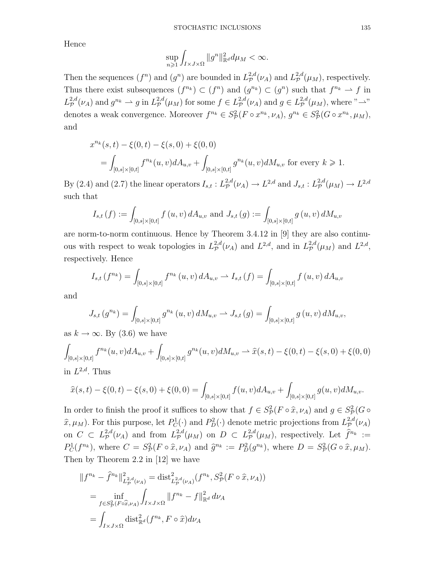Hence

$$
\sup_{n\geqslant 1}\int_{I\times J\times\Omega}\|g^n\|_{\mathbb{R}^d}^2d\mu_M<\infty.
$$

Then the sequences  $(f^n)$  and  $(g^n)$  are bounded in  $L^{2,d}_{\mathcal{P}}$  $L^{2,d}_{\mathcal{P}}(\nu_A)$  and  $L^{2,d}_{\mathcal{P}}$  $\varphi^{2,a}(\mu_M)$ , respectively. Thus there exist subsequences  $(f^{n_k}) \subset (f^n)$  and  $(g^{n_k}) \subset (g^n)$  such that  $f^{n_k} \to f$  in  $L^{2,d}_\mathcal{P}(\nu_A)$  and  $g^{n_k} \rightharpoonup g$  in  $L^{2,d}_\mathcal{P}(\mu_M)$  for some  $f \in L^{2,d}_\mathcal{P}(\nu_A)$  and  $g \in L^{2,d}_\mathcal{P}(\mu_M)$ , where  $\longrightarrow$ " denotes a weak convergence. Moreover  $f^{n_k} \in S^2_{\mathcal{P}}(F \circ x^{n_k}, \nu_A), g^{n_k} \in S^2_{\mathcal{P}}(G \circ x^{n_k}, \mu_M),$ and

$$
x^{n_k}(s,t) - \xi(0,t) - \xi(s,0) + \xi(0,0)
$$
  
= 
$$
\int_{[0,s] \times [0,t]} f^{n_k}(u,v) dA_{u,v} + \int_{[0,s] \times [0,t]} g^{n_k}(u,v) dM_{u,v}
$$
 for every  $k \ge 1$ .

By (2.4) and (2.7) the linear operators  $I_{s,t}: L^{2,d}_\mathcal{P}(\nu_A) \to L^{2,d}$  and  $J_{s,t}: L^{2,d}_\mathcal{P}(\mu_M) \to L^{2,d}$ such that

$$
I_{s,t}(f) := \int_{[0,s] \times [0,t]} f(u,v) dA_{u,v} \text{ and } J_{s,t}(g) := \int_{[0,s] \times [0,t]} g(u,v) dM_{u,v}
$$

are norm-to-norm continuous. Hence by Theorem 3.4.12 in [9] they are also continuous with respect to weak topologies in  $L^{2,d}_{\mathcal{P}}(\nu_A)$  and  $L^{2,d}$ , and in  $L^{2,d}_{\mathcal{P}}(\mu_M)$  and  $L^{2,d}$ , respectively. Hence

$$
I_{s,t}(f^{n_k}) = \int_{[0,s] \times [0,t]} f^{n_k}(u,v) dA_{u,v} \rightharpoonup I_{s,t}(f) = \int_{[0,s] \times [0,t]} f(u,v) dA_{u,v}
$$

and

$$
J_{s,t}(g^{n_k}) = \int_{[0,s] \times [0,t]} g^{n_k}(u,v) dM_{u,v} \rightharpoonup J_{s,t}(g) = \int_{[0,s] \times [0,t]} g(u,v) dM_{u,v},
$$

as  $k \to \infty$ . By (3.6) we have

$$
\int_{[0,s] \times [0,t]} f^{n_k}(u,v) dA_{u,v} + \int_{[0,s] \times [0,t]} g^{n_k}(u,v) dM_{u,v} \rightharpoonup \hat{x}(s,t) - \xi(0,t) - \xi(s,0) + \xi(0,0)
$$
  
in *L*<sup>2,d</sup>. Thus

$$
\hat{x}(s,t) - \xi(0,t) - \xi(s,0) + \xi(0,0) = \int_{[0,s] \times [0,t]} f(u,v) dA_{u,v} + \int_{[0,s] \times [0,t]} g(u,v) dM_{u,v}.
$$

In order to finish the proof it suffices to show that  $f \in S^2_{\mathcal{P}}(F \circ \hat{x}, \nu_A)$  and  $g \in S^2_{\mathcal{P}}(G \circ$  $\hat{x}, \mu_M$ ). For this purpose, let  $P_C^1(\cdot)$  and  $P_D^2(\cdot)$  denote metric projections from  $L^{2,d}_{\mathcal{P}}$  $\mathcal{P}^{2,a}(\nu_A)$ on  $C \subset L^{2,d}_\mathcal{P}(\nu_A)$  and from  $L^{2,d}_\mathcal{P}(\mu_M)$  on  $D \subset L^{2,d}_\mathcal{P}(\mu_M)$ , respectively. Let  $\hat{f}^{n_k} :=$  $P_C^1(f^{n_k})$ , where  $C = S_{\mathcal{P}}^2(F \circ \hat{x}, \nu_A)$  and  $\hat{g}^{n_k} := P_D^2(g^{n_k})$ , where  $D = S_{\mathcal{P}}^2(G \circ \hat{x}, \mu_M)$ . Then by Theorem 2.2 in [12] we have

$$
||f^{n_k} - \hat{f}^{n_k}||_{L^{2,d}_p(\nu_A)}^2 = \text{dist}_{L^{2,d}_p(\nu_A)}^2(f^{n_k}, S_p^2(F \circ \hat{x}, \nu_A))
$$
  
= 
$$
\inf_{f \in S_p^2(F \circ \hat{x}, \nu_A)} \int_{I \times J \times \Omega} ||f^{n_k} - f||_{\mathbb{R}^d}^2 d\nu_A
$$
  
= 
$$
\int_{I \times J \times \Omega} \text{dist}_{\mathbb{R}^d}^2(f^{n_k}, F \circ \hat{x}) d\nu_A
$$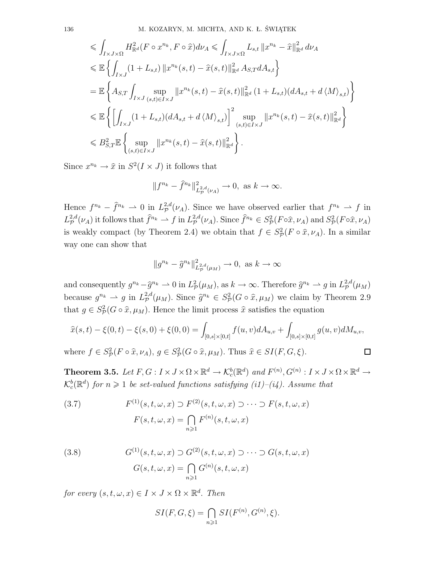$$
\leq \int_{I \times J \times \Omega} H_{\mathbb{R}^d}^2(F \circ x^{n_k}, F \circ \hat{x}) d\nu_A \leq \int_{I \times J \times \Omega} L_{s,t} ||x^{n_k} - \hat{x}||_{\mathbb{R}^d}^2 d\nu_A
$$
  
\n
$$
\leq \mathbb{E} \left\{ \int_{I \times J} (1 + L_{s,t}) ||x^{n_k}(s, t) - \hat{x}(s, t)||_{\mathbb{R}^d}^2 A_{S,T} dA_{s,t} \right\}
$$
  
\n
$$
= \mathbb{E} \left\{ A_{S,T} \int_{I \times J} \sup_{(s,t) \in I \times J} ||x^{n_k}(s, t) - \hat{x}(s, t)||_{\mathbb{R}^d}^2 (1 + L_{s,t}) (dA_{s,t} + d \langle M \rangle_{s,t}) \right\}
$$
  
\n
$$
\leq \mathbb{E} \left\{ \left[ \int_{I \times J} (1 + L_{s,t}) (dA_{s,t} + d \langle M \rangle_{s,t}) \right]^2 \sup_{(s,t) \in I \times J} ||x^{n_k}(s, t) - \hat{x}(s, t)||_{\mathbb{R}^d}^2 \right\}
$$
  
\n
$$
\leq B_{S,T}^2 \mathbb{E} \left\{ \sup_{(s,t) \in I \times J} ||x^{n_k}(s, t) - \hat{x}(s, t)||_{\mathbb{R}^d}^2 \right\}.
$$

Since  $x^{n_k} \to \hat{x}$  in  $S^2(I \times J)$  it follows that

$$
||f^{n_k} - \hat{f}^{n_k}||_{L^{2,d}_p(\nu_A)}^2 \to 0
$$
, as  $k \to \infty$ .

Hence  $f^{n_k} - \hat{f}^{n_k} \to 0$  in  $L^{2,d}_{\mathcal{P}}(\nu_A)$ . Since we have observed earlier that  $f^{n_k} \to f$  in  $L^{2,d}_{\mathcal{P}}$  $p^{2,d}(\nu_A)$  it follows that  $\hat{f}^{n_k} \rightharpoonup f$  in  $L^{2,d}_{\mathcal{P}}$  $P_p^{2,d}(\nu_A)$ . Since  $\hat{f}^{n_k} \in S_p^2(F \circ \hat{x}, \nu_A)$  and  $S_p^2(F \circ \hat{x}, \nu_A)$ is weakly compact (by Theorem 2.4) we obtain that  $f \in S^2_{\mathcal{P}}(F \circ \hat{x}, \nu_A)$ . In a similar way one can show that

$$
||g^{n_k} - \hat{g}^{n_k}||_{L^{2,d}_p(\mu_M)}^2 \to 0, \text{ as } k \to \infty
$$

and consequently  $g^{n_k} - \hat{g}^{n_k} \to 0$  in  $L^2_{\mathcal{P}}(\mu_M)$ , as  $k \to \infty$ . Therefore  $\hat{g}^{n_k} \to g$  in  $L^{2,d}_{\mathcal{P}}$  $_{\mathcal{P}}^{2,a}(\mu_M)$ because  $g^{n_k} \rightharpoonup g$  in  $L^{2,d}_{\mathcal{P}}(\mu_M)$ . Since  $\hat{g}^{n_k} \in S^2_{\mathcal{P}}(G \circ \hat{x}, \mu_M)$  we claim by Theorem 2.9 that  $g \in S^2_{\mathcal{P}}(G \circ \hat{x}, \mu_M)$ . Hence the limit process  $\hat{x}$  satisfies the equation

$$
\hat{x}(s,t) - \xi(0,t) - \xi(s,0) + \xi(0,0) = \int_{[0,s] \times [0,t]} f(u,v) dA_{u,v} + \int_{[0,s] \times [0,t]} g(u,v) dM_{u,v},
$$

where  $f \in S^2_{\mathcal{P}}(F \circ \hat{x}, \nu_A), g \in S^2_{\mathcal{P}}(G \circ \hat{x}, \mu_M)$ . Thus  $\hat{x} \in SI(F, G, \xi)$ .  $\Box$ 

**Theorem 3.5.** Let  $F, G: I \times J \times \Omega \times \mathbb{R}^d \to \mathcal{K}_c^b(\mathbb{R}^d)$  and  $F^{(n)}, G^{(n)}: I \times J \times \Omega \times \mathbb{R}^d \to$  $\mathcal{K}_c^b(\mathbb{R}^d)$  *for*  $n \geqslant 1$  *be set-valued functions satisfying (i1)–(i4). Assume that* 

(3.7) 
$$
F^{(1)}(s,t,\omega,x) \supset F^{(2)}(s,t,\omega,x) \supset \cdots \supset F(s,t,\omega,x)
$$

$$
F(s,t,\omega,x) = \bigcap_{n \geq 1} F^{(n)}(s,t,\omega,x)
$$

(3.8) 
$$
G^{(1)}(s,t,\omega,x) \supset G^{(2)}(s,t,\omega,x) \supset \cdots \supset G(s,t,\omega,x)
$$

$$
G(s,t,\omega,x) = \bigcap_{n\geqslant 1} G^{(n)}(s,t,\omega,x)
$$

*for every*  $(s, t, \omega, x) \in I \times J \times \Omega \times \mathbb{R}^d$ . *Then* 

$$
SI(F, G, \xi) = \bigcap_{n \geq 1} SI(F^{(n)}, G^{(n)}, \xi).
$$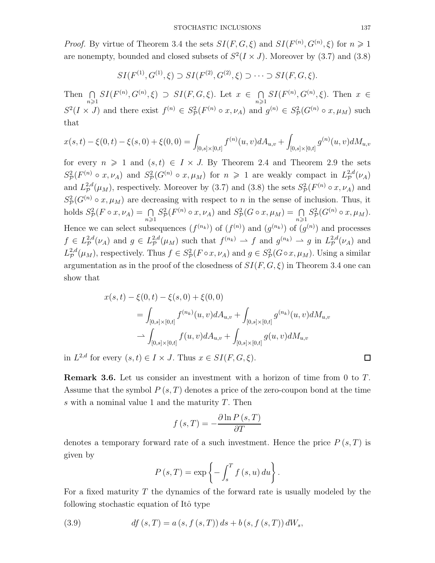*Proof.* By virtue of Theorem 3.4 the sets  $SI(F, G, \xi)$  and  $SI(F^{(n)}, G^{(n)}, \xi)$  for  $n \geq 1$ are nonempty, bounded and closed subsets of  $S^2(I \times J)$ . Moreover by (3.7) and (3.8)

$$
SI(F^{(1)}, G^{(1)}, \xi) \supset SI(F^{(2)}, G^{(2)}, \xi) \supset \cdots \supset SI(F, G, \xi).
$$

Then  $\bigcap_{n\geqslant 1} SI(F^{(n)}, G^{(n)}, \xi) \supset SI(F, G, \xi)$ . Let  $x \in \bigcap_{n\geqslant 1}$  $\bigcap_{n\geq 1} SI(F^{(n)}, G^{(n)}, \xi)$ . Then  $x \in$  $S^2(I \times J)$  and there exist  $f^{(n)} \in S^2_{\cal P}(F^{(n)} \circ x, \nu_A)$  and  $g^{(n)} \in S^2_{\cal P}(G^{(n)} \circ x, \mu_M)$  such that

$$
x(s,t) - \xi(0,t) - \xi(s,0) + \xi(0,0) = \int_{[0,s] \times [0,t]} f^{(n)}(u,v) dA_{u,v} + \int_{[0,s] \times [0,t]} g^{(n)}(u,v) dM_{u,v}
$$

for every  $n \geq 1$  and  $(s,t) \in I \times J$ . By Theorem 2.4 and Theorem 2.9 the sets  $S^2_{\cal P}(F^{(n)}\circ x,\nu_A)$  and  $S^2_{\cal P}(G^{(n)}\circ x,\mu_M)$  for  $n\geq 1$  are weakly compact in  $L^{2,d}_P(\nu_A)$ and  $L^{2,d}_{\mathcal{P}}$  $P_P^{2,d}(\mu_M)$ , respectively. Moreover by (3.7) and (3.8) the sets  $S_P^2(F^{(n)} \circ x, \nu_A)$  and  $S_P^2(G^{(n)} \circ x, \mu_M)$  are decreasing with respect to *n* in the sense of inclusion. Thus, it holds  $S^2_{\mathcal{P}}(F \circ x, \nu_A) = \bigcap_{n \geqslant 1}$  $S^2_{\mathcal{P}}(F^{(n)} \circ x, \nu_A)$  and  $S^2_{\mathcal{P}}(G \circ x, \mu_M) = \bigcap_{n \geq 1}$  $S^2_{\mathcal{P}}(G^{(n)} \circ x, \mu_M).$ Hence we can select subsequences  $(f^{(n_k)})$  of  $(f^{(n)})$  and  $(g^{(n_k)})$  of  $(g^{(n)})$  and processes  $f \in L^{2,d}_\mathcal{P}(\nu_A)$  and  $g \in L^{2,d}_\mathcal{P}(\mu_M)$  such that  $f^{(n_k)} \to f$  and  $g^{(n_k)} \to g$  in  $L^{2,d}_\mathcal{P}(\nu_A)$  and  $L^{2,d}_{\mathcal{P}}(\mu_M)$ , respectively. Thus  $f \in S^2_{\mathcal{P}}(F \circ x, \nu_A)$  and  $g \in S^2_{\mathcal{P}}(G \circ x, \mu_M)$ . Using a similar argumentation as in the proof of the closedness of *SI*(*F, G, ξ*) in Theorem 3.4 one can show that

$$
x(s,t) - \xi(0,t) - \xi(s,0) + \xi(0,0)
$$
  
= 
$$
\int_{[0,s] \times [0,t]} f^{(n_k)}(u,v) dA_{u,v} + \int_{[0,s] \times [0,t]} g^{(n_k)}(u,v) dM_{u,v}
$$
  

$$
\rightarrow \int_{[0,s] \times [0,t]} f(u,v) dA_{u,v} + \int_{[0,s] \times [0,t]} g(u,v) dM_{u,v}
$$

in  $L^{2,d}$  for every  $(s,t) \in I \times J$ . Thus  $x \in SI(F, G, \xi)$ .

**Remark 3.6.** Let us consider an investment with a horizon of time from 0 to *T*. Assume that the symbol *P* (*s, T*) denotes a price of the zero-coupon bond at the time *s* with a nominal value 1 and the maturity *T*. Then

$$
f(s,T) = -\frac{\partial \ln P(s,T)}{\partial T}
$$

denotes a temporary forward rate of a such investment. Hence the price *P* (*s, T*) is given by

$$
P(s,T) = \exp\left\{-\int_s^T f(s,u) \, du\right\}.
$$

For a fixed maturity *T* the dynamics of the forward rate is usually modeled by the following stochastic equation of Itô type

(3.9) 
$$
df (s, T) = a (s, f (s, T)) ds + b (s, f (s, T)) dW_s,
$$

 $\Box$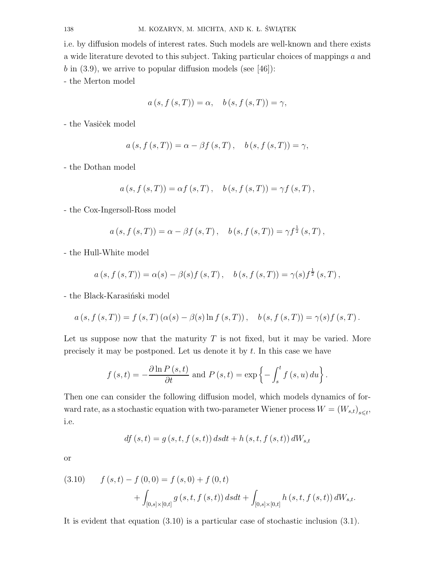i.e. by diffusion models of interest rates. Such models are well-known and there exists a wide literature devoted to this subject. Taking particular choices of mappings *a* and b in  $(3.9)$ , we arrive to popular diffusion models (see [46]):

- the Merton model

$$
a(s, f(s, T)) = \alpha, \quad b(s, f(s, T)) = \gamma,
$$

- the Vasiček model

$$
a(s, f(s,T)) = \alpha - \beta f(s,T), \quad b(s, f(s,T)) = \gamma,
$$

- the Dothan model

$$
a(s, f(s,T)) = \alpha f(s,T), b(s, f(s,T)) = \gamma f(s,T),
$$

- the Cox-Ingersoll-Ross model

$$
a(s, f(s,T)) = \alpha - \beta f(s,T), \quad b(s, f(s,T)) = \gamma f^{\frac{1}{2}}(s,T),
$$

- the Hull-White model

$$
a(s, f(s,T)) = \alpha(s) - \beta(s)f(s,T), \quad b(s, f(s,T)) = \gamma(s)f^{\frac{1}{2}}(s,T),
$$

- the Black-Karasiński model

$$
a(s, f(s,T)) = f(s,T) (\alpha(s) - \beta(s) \ln f(s,T)), \quad b(s, f(s,T)) = \gamma(s) f(s,T).
$$

Let us suppose now that the maturity *T* is not fixed, but it may be varied. More precisely it may be postponed. Let us denote it by *t*. In this case we have

$$
f(s,t) = -\frac{\partial \ln P(s,t)}{\partial t}
$$
 and  $P(s,t) = \exp \left\{-\int_{s}^{t} f(s,u) du\right\}.$ 

Then one can consider the following diffusion model, which models dynamics of forward rate, as a stochastic equation with two-parameter Wiener process  $W = (W_{s,t})_{s \leq t}$ , i.e.

$$
df (s, t) = g (s, t, f (s, t)) dsdt + h (s, t, f (s, t)) dW_{s, t}
$$

or

(3.10) 
$$
f(s,t) - f(0,0) = f(s,0) + f(0,t) + \int_{[0,s] \times [0,t]} g(s,t,f(s,t)) ds dt + \int_{[0,s] \times [0,t]} h(s,t,f(s,t)) dW_{s,t}.
$$

It is evident that equation (3.10) is a particular case of stochastic inclusion (3.1).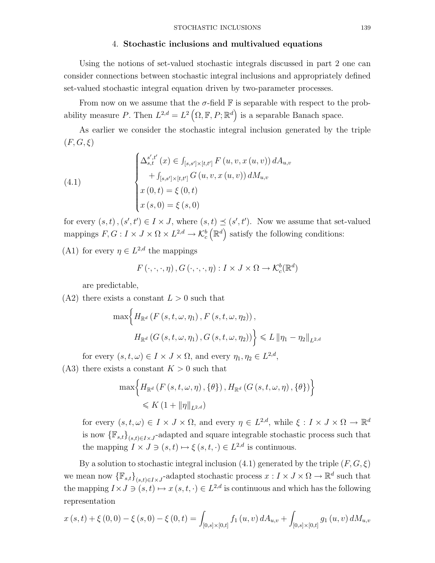#### 4. **Stochastic inclusions and multivalued equations**

Using the notions of set-valued stochastic integrals discussed in part 2 one can consider connections between stochastic integral inclusions and appropriately defined set-valued stochastic integral equation driven by two-parameter processes.

From now on we assume that the  $\sigma$ -field  $\mathbb F$  is separable with respect to the probability measure *P*. Then  $L^{2,d} = L^2(\Omega, \mathbb{F}, P; \mathbb{R}^d)$  is a separable Banach space.

As earlier we consider the stochastic integral inclusion generated by the triple  $(F, G, \xi)$ 

(4.1)  

$$
\begin{cases}\n\Delta_{s,t}^{s',t'}(x) \in \int_{[s,s'] \times [t,t']} F(u,v,x(u,v)) dA_{u,v} \\
\quad + \int_{[s,s'] \times [t,t']} G(u,v,x(u,v)) dM_{u,v} \\
x(0,t) = \xi(0,t) \\
x(s,0) = \xi(s,0)\n\end{cases}
$$

for every  $(s, t)$ ,  $(s', t') \in I \times J$ , where  $(s, t) \preceq (s', t')$ . Now we assume that set-valued mappings  $F, G: I \times J \times \Omega \times L^{2,d} \to \mathcal{K}_c^b$  $(\mathbb{R}^d)$  satisfy the following conditions:

(A1) for every  $\eta \in L^{2,d}$  the mappings

$$
F(\cdot, \cdot, \cdot, \eta), G(\cdot, \cdot, \cdot, \eta): I \times J \times \Omega \to \mathcal{K}_c^b(\mathbb{R}^d)
$$

are predictable,

 $(A2)$  there exists a constant  $L > 0$  such that

$$
\max\Big\{H_{\mathbb{R}^d}\left(F\left(s,t,\omega,\eta_1\right),F\left(s,t,\omega,\eta_2\right)\right),\
$$

$$
H_{\mathbb{R}^d}\left(G\left(s,t,\omega,\eta_1\right),G\left(s,t,\omega,\eta_2\right)\right)\Big\}\leqslant L\left\|\eta_1-\eta_2\right\|_{L^{2,d}}
$$

for every  $(s, t, \omega) \in I \times J \times \Omega$ , and every  $\eta_1, \eta_2 \in L^{2,d}$ ,

 $(A3)$  there exists a constant  $K > 0$  such that

$$
\max \Biggl\{ H_{\mathbb{R}^{d}}\left(F\left(s,t,\omega,\eta\right),\left\{\theta\right\}\right), H_{\mathbb{R}^{d}}\left(G\left(s,t,\omega,\eta\right),\left\{\theta\right\}\right) \Biggr\}\leqslant K\left(1+\|\eta\|_{L^{2,d}}\right)
$$

for every  $(s, t, \omega) \in I \times J \times \Omega$ , and every  $\eta \in L^{2,d}$ , while  $\xi : I \times J \times \Omega \to \mathbb{R}^d$ is now  ${\{\mathbb{F}_{s,t}\}}_{(s,t)\in I\times J}$ -adapted and square integrable stochastic process such that the mapping  $I \times J \ni (s, t) \mapsto \xi(s, t, \cdot) \in L^{2,d}$  is continuous.

By a solution to stochastic integral inclusion  $(4.1)$  generated by the triple  $(F, G, \xi)$ we mean now  $\{\mathbb{F}_{s,t}\}_{(s,t)\in I\times J}$ -adapted stochastic process  $x: I \times J \times \Omega \to \mathbb{R}^d$  such that the mapping  $I \times J \ni (s, t) \mapsto x (s, t, \cdot) \in L^{2,d}$  is continuous and which has the following representation

$$
x(s,t) + \xi(0,0) - \xi(s,0) - \xi(0,t) = \int_{[0,s] \times [0,t]} f_1(u,v) dA_{u,v} + \int_{[0,s] \times [0,t]} g_1(u,v) dM_{u,v}
$$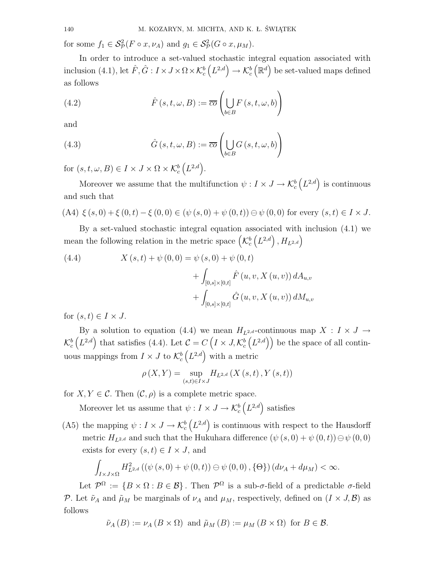for some  $f_1 \in \mathcal{S}_{\mathcal{P}}^2(F \circ x, \nu_A)$  and  $g_1 \in \mathcal{S}_{\mathcal{P}}^2(G \circ x, \mu_M)$ .

In order to introduce a set-valued stochastic integral equation associated with inclusion (4.1), let  $\hat{F}, \hat{G}: I \times J \times \Omega \times \mathcal{K}_c^b$  $(L^{2,d}) \to \mathcal{K}_c^b$  $(\mathbb{R}^d)$  be set-valued maps defined as follows

(4.2) 
$$
\hat{F}(s,t,\omega,B) := \overline{co} \left( \bigcup_{b \in B} F(s,t,\omega,b) \right)
$$

and

(4.3) 
$$
\hat{G}(s,t,\omega,B) := \overline{co} \left( \bigcup_{b \in B} G(s,t,\omega,b) \right)
$$

for  $(s, t, \omega, B) \in I \times J \times \Omega \times \mathcal{K}_c^b$  $(L^{2,d})$ .

Moreover we assume that the multifunction  $\psi: I \times J \to \mathcal{K}_c^b$  $(L^{2,d})$  is continuous and such that

(A4) 
$$
\xi(s,0) + \xi(0,t) - \xi(0,0) \in (\psi(s,0) + \psi(0,t)) \oplus \psi(0,0)
$$
 for every  $(s,t) \in I \times J$ .

By a set-valued stochastic integral equation associated with inclusion (4.1) we mean the following relation in the metric space  $\left(\mathcal{K}^b_c\right)$  $(L^{2,d})$ ,  $H_{L^{2,d}}$ 

(4.4) 
$$
X(s,t) + \psi(0,0) = \psi(s,0) + \psi(0,t) + \int_{[0,s] \times [0,t]} \hat{F}(u,v,X(u,v)) dA_{u,v} + \int_{[0,s] \times [0,t]} \hat{G}(u,v,X(u,v)) dM_{u,v}
$$

for  $(s, t) \in I \times J$ .

By a solution to equation (4.4) we mean  $H_{L^{2,d}}$ -continuous map  $X : I \times J \rightarrow$  $\mathcal{K}_c^b$  $(L^{2,d})$  that satisfies (4.4). Let  $C = C \left( I \times J, \mathcal{K}_c^b \right)$  $(L^{2,d})$  be the space of all continuous mappings from  $I \times J$  to  $\mathcal{K}_c^b$  $(L^{2,d})$  with a metric

$$
\rho\left(X,Y\right) = \sup_{\left(s,t\right) \in I \times J} H_{L^{2,d}}\left(X\left(s,t\right),Y\left(s,t\right)\right)
$$

for  $X, Y \in \mathcal{C}$ . Then  $(\mathcal{C}, \rho)$  is a complete metric space.

Moreover let us assume that  $\psi: I \times J \to \mathcal{K}_c^b$  $(L^{2,d})$  satisfies

(A5) the mapping  $\psi: I \times J \to \mathcal{K}_c^b$  $(L^{2,d})$  is continuous with respect to the Hausdorff metric  $H_{L^{2,d}}$  and such that the Hukuhara difference  $(\psi(s,0) + \psi(0,t)) \ominus \psi(0,0)$ exists for every  $(s, t) \in I \times J$ , and

$$
\int_{I\times J\times\Omega} H_{L^{2,d}}^2\left( \left(\psi\left(s,0\right)+\psi\left(0,t\right)\right)\ominus\psi\left(0,0\right),\{\Theta\}\right) \left(d\nu_A+d\mu_M\right)<\infty.
$$

Let  $\mathcal{P}^{\Omega} := \{ B \times \Omega : B \in \mathcal{B} \}$ . Then  $\mathcal{P}^{\Omega}$  is a sub- $\sigma$ -field of a predictable  $\sigma$ -field *P*. Let  $\tilde{\nu}_A$  and  $\tilde{\mu}_M$  be marginals of  $\nu_A$  and  $\mu_M$ , respectively, defined on  $(I \times J, \mathcal{B})$  as follows

$$
\tilde{\nu}_A(B) := \nu_A(B \times \Omega)
$$
 and  $\tilde{\mu}_M(B) := \mu_M(B \times \Omega)$  for  $B \in \mathcal{B}$ .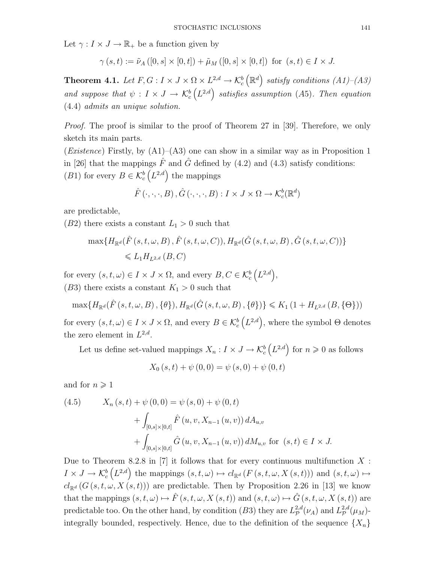Let  $\gamma: I \times J \to \mathbb{R}_+$  be a function given by

$$
\gamma(s,t) := \tilde{\nu}_A([0,s] \times [0,t]) + \tilde{\mu}_M([0,s] \times [0,t]) \text{ for } (s,t) \in I \times J.
$$

**Theorem 4.1.** *Let*  $F, G: I \times J \times \Omega \times L^{2,d} \rightarrow \mathcal{K}_c^b$  $\left(\mathbb{R}^d\right)$  satisfy conditions  $(A1)$ – $(A3)$ *and suppose that*  $\psi: I \times J \rightarrow \mathcal{K}_c^b$  $(L^{2,d})$  satisfies assumption (A5). Then equation (4.4) *admits an unique solution.*

*Proof.* The proof is similar to the proof of Theorem 27 in [39]. Therefore, we only sketch its main parts.

(*Existence*) Firstly, by (A1)–(A3) one can show in a similar way as in Proposition 1 in [26] that the mappings  $\hat{F}$  and  $\hat{G}$  defined by (4.2) and (4.3) satisfy conditions: (*B*<sup>1</sup>) for every  $B \in \mathcal{K}_c^b$  $(L^{2,d})$  the mappings

$$
\hat{F}(\cdot,\cdot,\cdot,B),\hat{G}(\cdot,\cdot,\cdot,B):I\times J\times\Omega\to\mathcal{K}_c^b(\mathbb{R}^d)
$$

are predictable,

(*B*2) there exists a constant  $L_1 > 0$  such that

$$
\max\{H_{\mathbb{R}^d}(\hat{F}(s,t,\omega,B),\hat{F}(s,t,\omega,C)),H_{\mathbb{R}^d}(\hat{G}(s,t,\omega,B),\hat{G}(s,t,\omega,C))\}
$$
  
\$\leq L\_1H\_{L^{2,d}}(B,C)\$

for every  $(s, t, \omega) \in I \times J \times \Omega$ , and every  $B, C \in \mathcal{K}_c^b$  $(L^{2,d}),$ (*B*3) there exists a constant  $K_1 > 0$  such that

$$
\max\{H_{\mathbb{R}^d}(\hat{F}(s,t,\omega,B),\{\theta\}),H_{\mathbb{R}^d}(\hat{G}(s,t,\omega,B),\{\theta\})\}\leqslant K_1(1+H_{L^{2,d}}(B,\{\Theta\}))
$$

for every  $(s, t, \omega) \in I \times J \times \Omega$ , and every  $B \in \mathcal{K}_c^b$  $(L^{2,d})$ , where the symbol  $\Theta$  denotes the zero element in  $L^{2,d}$ .

Let us define set-valued mappings  $X_n: I \times J \to \mathcal{K}_c^b$  $(L^{2,d})$  for  $n \geqslant 0$  as follows

$$
X_0(s,t) + \psi(0,0) = \psi(s,0) + \psi(0,t)
$$

and for  $n \geqslant 1$ 

(4.5) 
$$
X_n(s,t) + \psi(0,0) = \psi(s,0) + \psi(0,t) + \int_{[0,s] \times [0,t]} \hat{F}(u,v,X_{n-1}(u,v)) dA_{u,v} + \int_{[0,s] \times [0,t]} \hat{G}(u,v,X_{n-1}(u,v)) dM_{u,v} \text{ for } (s,t) \in I \times J.
$$

Due to Theorem 8.2.8 in [7] it follows that for every continuous multifunction  $X$ :  $I \times J \rightarrow \mathcal{K}_c^b$  $(L^{2,d})$  the mappings  $(s, t, \omega) \mapsto cl_{\mathbb{R}^d} (F(s, t, \omega, X(s, t)))$  and  $(s, t, \omega) \mapsto$  $cl_{\mathbb{R}^d}$  (*G* (*s, t, ω, X* (*s, t*))) are predictable. Then by Proposition 2.26 in [13] we know that the mappings  $(s, t, \omega) \mapsto \hat{F}(s, t, \omega, X(s, t))$  and  $(s, t, \omega) \mapsto \hat{G}(s, t, \omega, X(s, t))$  are predictable too. On the other hand, by condition  $(B3)$  they are  $L^{2,d}_{\cal P}$  $L^{2,d}_{\mathcal{P}}(\nu_A)$  and  $L^{2,d}_{\mathcal{P}}$  $_{\mathcal{P}}^{2,a}(\mu_M)$ integrally bounded, respectively. Hence, due to the definition of the sequence  ${X_n}$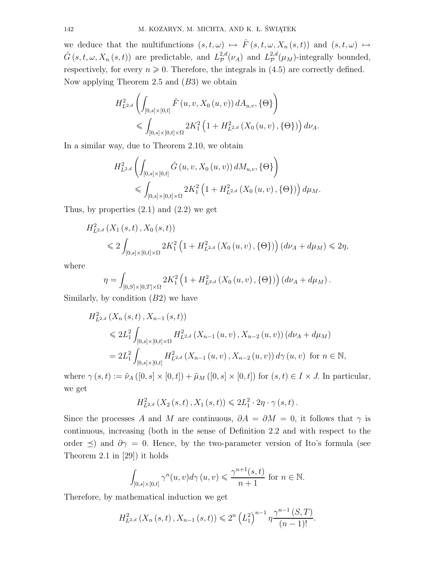we deduce that the multifunctions  $(s, t, \omega) \mapsto \hat{F}(s, t, \omega, X_n(s, t))$  and  $(s, t, \omega) \mapsto$  $\hat{G}(s,t,\omega,X_n(s,t))$  are predictable, and  $L^{2,d}_{\mathcal{P}}(\nu_A)$  and  $L^{2,d}_{\mathcal{P}}(\mu_M)$ -integrally bounded, respectively, for every  $n \geqslant 0$ . Therefore, the integrals in (4.5) are correctly defined. Now applying Theorem 2.5 and (*B*3) we obtain

$$
H_{L^{2,d}}^{2}\left(\int_{[0,s]\times[0,t]} \hat{F}\left(u,v,X_{0}\left(u,v\right)\right) dA_{u,v},\{\Theta\}\right) \leq \int_{[0,s]\times[0,t]\times\Omega} 2K_{1}^{2}\left(1+H_{L^{2,d}}^{2}\left(X_{0}\left(u,v\right),\{\Theta\}\right)\right) d\nu_{A}.
$$

In a similar way, due to Theorem 2.10, we obtain

$$
H_{L^{2,d}}^{2}\left(\int_{[0,s]\times[0,t]} \hat{G}(u,v,X_{0}(u,v)) dM_{u,v}, \{\Theta\}\right) \leq \int_{[0,s]\times[0,t]\times\Omega} 2K_{1}^{2}\left(1 + H_{L^{2,d}}^{2}\left(X_{0}(u,v), \{\Theta\}\right)\right) d\mu_{M}.
$$

Thus, by properties  $(2.1)$  and  $(2.2)$  we get

$$
H_{L^{2,d}}^{2}\left(X_{1}\left(s,t\right),X_{0}\left(s,t\right)\right)
$$
  
\$\leqslant 2 \int\_{[0,s]\times[0,t]\times\Omega} 2K\_{1}^{2}\left(1+H\_{L^{2,d}}^{2}\left(X\_{0}\left(u,v\right),\{\Theta\}\right)\right)(d\nu\_{A}+d\mu\_{M}) \leqslant 2\eta\$,

where

$$
\eta = \int_{[0,S] \times [0,T] \times \Omega} 2K_1^2 \left( 1 + H_{L^{2,d}}^2 \left( X_0(u,v), \{\Theta\} \right) \right) \left( d\nu_A + d\mu_M \right).
$$

Similarly, by condition (*B*2) we have

$$
H_{L^{2,d}}^{2}\left(X_{n}\left(s,t\right), X_{n-1}\left(s,t\right)\right)
$$
  
\n
$$
\leq 2L_{1}^{2} \int_{[0,s] \times [0,t] \times \Omega} H_{L^{2,d}}^{2}\left(X_{n-1}\left(u,v\right), X_{n-2}\left(u,v\right)\right) \left(d\nu_{A} + d\mu_{M}\right)
$$
  
\n
$$
= 2L_{1}^{2} \int_{[0,s] \times [0,t]} H_{L^{2,d}}^{2}\left(X_{n-1}\left(u,v\right), X_{n-2}\left(u,v\right)\right) d\gamma\left(u,v\right) \text{ for } n \in \mathbb{N},
$$

where  $\gamma(s,t) := \tilde{\nu}_A([0,s] \times [0,t]) + \tilde{\mu}_M([0,s] \times [0,t])$  for  $(s,t) \in I \times J$ . In particular, we get

$$
H_{L^{2,d}}^{2}(X_2(s,t), X_1(s,t)) \le 2L_1^{2} \cdot 2\eta \cdot \gamma(s,t).
$$

Since the processes *A* and *M* are continuous,  $\partial A = \partial M = 0$ , it follows that  $\gamma$  is continuous, increasing (both in the sense of Definition 2.2 and with respect to the order  $\preceq$ ) and  $\partial \gamma = 0$ . Hence, by the two-parameter version of Ito's formula (see Theorem 2.1 in [29]) it holds

$$
\int_{[0,s]\times[0,t]} \gamma^n(u,v)d\gamma(u,v) \leq \frac{\gamma^{n+1}(s,t)}{n+1} \text{ for } n \in \mathbb{N}.
$$

Therefore, by mathematical induction we get

$$
H_{L^{2,d}}^{2}\left(X_{n}\left(s,t\right),X_{n-1}\left(s,t\right)\right)\leqslant 2^{n}\left(L_{1}^{2}\right)^{n-1}\eta\frac{\gamma^{n-1}\left(S,T\right)}{\left(n-1\right)!}.
$$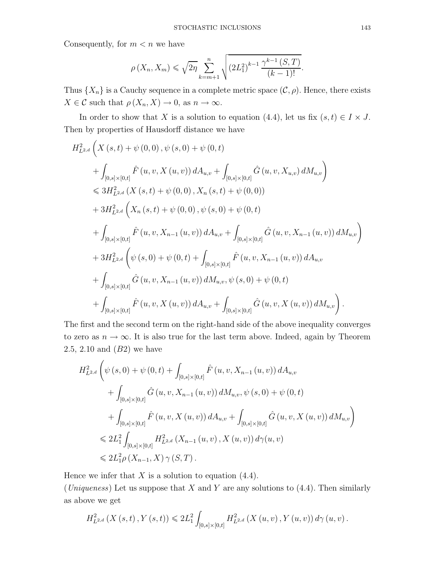Consequently, for  $m < n$  we have

$$
\rho(X_n, X_m) \leqslant \sqrt{2\eta} \sum_{k=m+1}^n \sqrt{\left(2L_1^2\right)^{k-1} \frac{\gamma^{k-1}(S, T)}{(k-1)!}}.
$$

Thus  $\{X_n\}$  is a Cauchy sequence in a complete metric space  $(C, \rho)$ . Hence, there exists  $X \in \mathcal{C}$  such that  $\rho(X_n, X) \to 0$ , as  $n \to \infty$ .

In order to show that *X* is a solution to equation (4.4), let us fix  $(s, t) \in I \times J$ . Then by properties of Hausdorff distance we have

$$
H_{L^{2,d}}^{2}\left(X(s,t)+\psi(0,0),\psi(s,0)+\psi(0,t)\right)
$$
  
+ 
$$
\int_{[0,s]\times[0,t]} \hat{F}(u,v,X(u,v)) dA_{u,v} + \int_{[0,s]\times[0,t]} \hat{G}(u,v,X_{u,v}) dM_{u,v}\right)
$$
  

$$
\leq 3H_{L^{2,d}}^{2}\left(X(s,t)+\psi(0,0),X_{n}(s,t)+\psi(0,0)\right)
$$
  
+ 
$$
3H_{L^{2,d}}^{2}\left(X_{n}(s,t)+\psi(0,0),\psi(s,0)+\psi(0,t)\right)
$$
  
+ 
$$
\int_{[0,s]\times[0,t]} \hat{F}(u,v,X_{n-1}(u,v)) dA_{u,v} + \int_{[0,s]\times[0,t]} \hat{G}(u,v,X_{n-1}(u,v)) dM_{u,v}\right)
$$
  
+ 
$$
3H_{L^{2,d}}^{2}\left(\psi(s,0)+\psi(0,t)+\int_{[0,s]\times[0,t]} \hat{F}(u,v,X_{n-1}(u,v)) dA_{u,v}\right)
$$
  
+ 
$$
\int_{[0,s]\times[0,t]} \hat{G}(u,v,X_{n-1}(u,v)) dM_{u,v},\psi(s,0)+\psi(0,t)
$$
  
+ 
$$
\int_{[0,s]\times[0,t]} \hat{F}(u,v,X(u,v)) dA_{u,v} + \int_{[0,s]\times[0,t]} \hat{G}(u,v,X(u,v)) dM_{u,v}\right).
$$

The first and the second term on the right-hand side of the above inequality converges to zero as  $n \to \infty$ . It is also true for the last term above. Indeed, again by Theorem 2.5, 2.10 and (*B*2) we have

$$
H_{L^{2,d}}^{2}\left(\psi(s,0)+\psi(0,t)+\int_{[0,s]\times[0,t]} \hat{F}(u,v,X_{n-1}(u,v)) dA_{u,v}\right.+\int_{[0,s]\times[0,t]} \hat{G}(u,v,X_{n-1}(u,v)) dM_{u,v}, \psi(s,0)+\psi(0,t)+\int_{[0,s]\times[0,t]} \hat{F}(u,v,X(u,v)) dA_{u,v}+\int_{[0,s]\times[0,t]} \hat{G}(u,v,X(u,v)) dM_{u,v}\right)\leqslant 2L_{1}^{2}\int_{[0,s]\times[0,t]} H_{L^{2,d}}^{2}\left(X_{n-1}(u,v),X(u,v)\right)d\gamma(u,v)\leqslant 2L_{1}^{2}\rho\left(X_{n-1},X\right)\gamma(S,T).
$$

Hence we infer that  $X$  is a solution to equation  $(4.4)$ .

(*Uniqueness*) Let us suppose that *X* and *Y* are any solutions to (4.4). Then similarly as above we get

$$
H_{L^{2,d}}^{2}\left(X\left(s,t\right),Y\left(s,t\right)\right)\leqslant 2L_{1}^{2}\int_{[0,s]\times\left[0,t\right]}H_{L^{2,d}}^{2}\left(X\left(u,v\right),Y\left(u,v\right)\right)d\gamma\left(u,v\right).
$$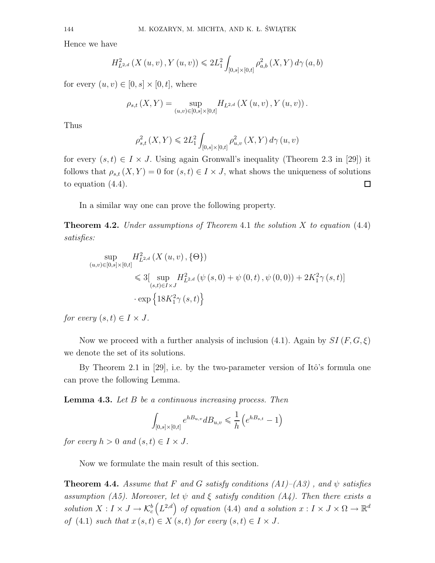Hence we have

$$
H_{L^{2,d}}^{2}\left(X\left(u,v\right),Y\left(u,v\right)\right)\leq 2L_{1}^{2}\int_{[0,s]\times\left[0,t\right]} \rho_{a,b}^{2}\left(X,Y\right)d\gamma\left(a,b\right)
$$

for every  $(u, v) \in [0, s] \times [0, t]$ , where

$$
\rho_{s,t}(X,Y) = \sup_{(u,v)\in [0,s]\times [0,t]} H_{L^{2,d}}(X(u,v),Y(u,v)).
$$

Thus

$$
\rho_{s,t}^{2}\left(X,Y\right) \leqslant 2L_{1}^{2}\int_{[0,s]\times\left[0,t\right]}\rho_{u,v}^{2}\left(X,Y\right)d\gamma\left(u,v\right)
$$

for every  $(s, t) \in I \times J$ . Using again Gronwall's inequality (Theorem 2.3 in [29]) it follows that  $\rho_{s,t}(X, Y) = 0$  for  $(s, t) \in I \times J$ , what shows the uniqueness of solutions to equation (4.4).  $\Box$ 

In a similar way one can prove the following property.

**Theorem 4.2.** *Under assumptions of Theorem* 4.1 *the solution X to equation* (4.4) *satisfies:*

$$
\sup_{(u,v)\in[0,s]\times[0,t]} H_{L^{2,d}}^{2}\left(X(u,v),\{\Theta\}\right)
$$
  
\$\leqslant 3[ \sup\_{(s,t)\in I\times J} H\_{L^{2,d}}^{2}\left(\psi(s,0)+\psi(0,t),\psi(0,0)\right)+2K\_{1}^{2}\gamma(s,t)]\$  
 
$$
\cdot \exp\left\{18K_{1}^{2}\gamma(s,t)\right\}
$$

*for every*  $(s, t) \in I \times J$ .

Now we proceed with a further analysis of inclusion  $(4.1)$ . Again by  $SI(F, G, \xi)$ we denote the set of its solutions.

By Theorem 2.1 in [29], i.e. by the two-parameter version of Itô's formula one can prove the following Lemma.

**Lemma 4.3.** *Let B be a continuous increasing process. Then*

$$
\int_{[0,s] \times [0,t]} e^{h_{u,v}} dB_{u,v} \le \frac{1}{h} \left( e^{h_{u,v}} - 1 \right)
$$

*for every*  $h > 0$  *and*  $(s, t) \in I \times J$ .

Now we formulate the main result of this section.

**Theorem 4.4.** *Assume that*  $F$  *and*  $G$  *satisfy conditions*  $(A1)$ – $(A3)$ , *and*  $\psi$  *satisfies assumption (A5). Moreover, let*  $\psi$  *and*  $\xi$  *satisfy condition (A4). Then there exists a solution*  $X: I \times J \rightarrow \mathcal{K}_c^b$  $(L^{2,d})$  *of equation* (4.4) *and a solution*  $x: I \times J \times \Omega \rightarrow \mathbb{R}^d$ *of*  $(4.1)$  *such that*  $x(s,t) \in X$   $(s,t)$  *for every*  $(s,t) \in I \times J$ .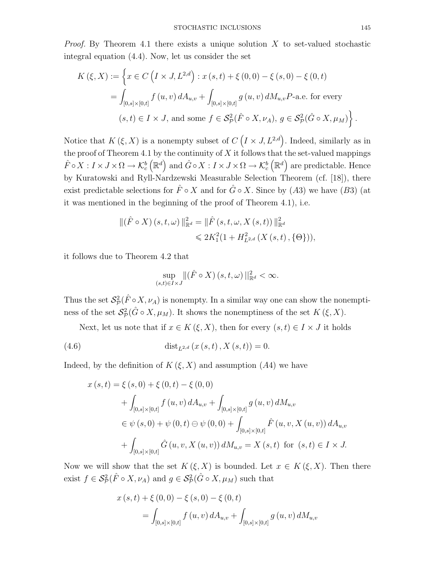*Proof.* By Theorem 4.1 there exists a unique solution *X* to set-valued stochastic integral equation (4.4). Now, let us consider the set

$$
K(\xi, X) := \left\{ x \in C \left( I \times J, L^{2,d} \right) : x(s, t) + \xi(0, 0) - \xi(s, 0) - \xi(0, t) \right\}
$$
  
= 
$$
\int_{[0,s] \times [0,t]} f(u, v) dA_{u,v} + \int_{[0,s] \times [0,t]} g(u, v) dM_{u,v} P
$$
-a.e. for every  
 $(s, t) \in I \times J$ , and some  $f \in S_{\mathcal{P}}^2(\hat{F} \circ X, \nu_A), g \in S_{\mathcal{P}}^2(\hat{G} \circ X, \mu_M) \right\}.$ 

Notice that  $K(\xi, X)$  is a nonempty subset of  $C(I \times J, L^{2,d})$ . Indeed, similarly as in the proof of Theorem 4.1 by the continuity of  $X$  it follows that the set-valued mappings  $\hat{F} \circ X : I \times J \times \Omega \to \mathcal{K}_c^b$  $(\mathbb{R}^d)$  and  $\hat{G} \circ X : I \times J \times \Omega \to \mathcal{K}_c^b$  $(\mathbb{R}^d)$  are predictable. Hence by Kuratowski and Ryll-Nardzewski Measurable Selection Theorem (cf. [18]), there exist predictable selections for  $\hat{F} \circ X$  and for  $\hat{G} \circ X$ . Since by (A3) we have (B3) (at it was mentioned in the beginning of the proof of Theorem 4.1), i.e.

$$
\begin{aligned} \| (\hat{F} \circ X) (s, t, \omega) \|_{\mathbb{R}^d}^2 &= \| \hat{F} (s, t, \omega, X (s, t)) \|_{\mathbb{R}^d}^2 \\ &\leq 2K_1^2 (1 + H_{L^{2,d}}^2 (X (s, t), \{ \Theta \})), \end{aligned}
$$

it follows due to Theorem 4.2 that

$$
\sup_{(s,t)\in I\times J} \|(\hat{F}\circ X)(s,t,\omega)\|_{\mathbb{R}^d}^2 < \infty.
$$

Thus the set  $\mathcal{S}_{\mathcal{P}}^2(\hat{F} \circ X, \nu_A)$  is nonempty. In a similar way one can show the nonemptiness of the set  $\mathcal{S}_{\mathcal{P}}^2(\hat{G} \circ X, \mu_M)$ . It shows the nonemptiness of the set  $K(\xi, X)$ .

Next, let us note that if  $x \in K(\xi, X)$ , then for every  $(s, t) \in I \times J$  it holds

(4.6) 
$$
\text{dist}_{L^{2,d}}(x(s,t), X(s,t)) = 0.
$$

Indeed, by the definition of  $K(\xi, X)$  and assumption  $(A4)$  we have

$$
x(s,t) = \xi(s,0) + \xi(0,t) - \xi(0,0)
$$
  
+ 
$$
\int_{[0,s] \times [0,t]} f(u,v) dA_{u,v} + \int_{[0,s] \times [0,t]} g(u,v) dM_{u,v}
$$
  

$$
\in \psi(s,0) + \psi(0,t) \ominus \psi(0,0) + \int_{[0,s] \times [0,t]} \hat{F}(u,v,X(u,v)) dA_{u,v}
$$
  
+ 
$$
\int_{[0,s] \times [0,t]} \hat{G}(u,v,X(u,v)) dM_{u,v} = X(s,t) \text{ for } (s,t) \in I \times J.
$$

Now we will show that the set  $K(\xi, X)$  is bounded. Let  $x \in K(\xi, X)$ . Then there exist  $f \in S^2_{\mathcal{P}}(\hat{F} \circ X, \nu_A)$  and  $g \in S^2_{\mathcal{P}}(\hat{G} \circ X, \mu_M)$  such that

$$
x(s,t) + \xi(0,0) - \xi(s,0) - \xi(0,t)
$$
  
= 
$$
\int_{[0,s] \times [0,t]} f(u,v) dA_{u,v} + \int_{[0,s] \times [0,t]} g(u,v) dM_{u,v}
$$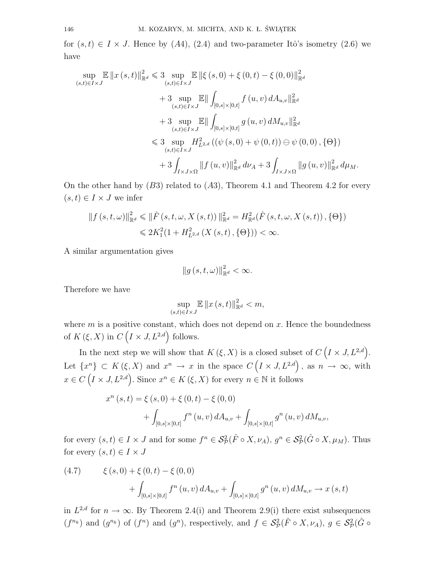for  $(s, t) \in I \times J$ . Hence by  $(A4)$ ,  $(2.4)$  and two-parameter Itô's isometry  $(2.6)$  we have

$$
\sup_{(s,t)\in I\times J} \mathbb{E} ||x(s,t)||_{\mathbb{R}^d}^2 \leq 3 \sup_{(s,t)\in I\times J} \mathbb{E} ||\xi(s,0) + \xi(0,t) - \xi(0,0)||_{\mathbb{R}^d}^2
$$
  
+ 3 
$$
\sup_{(s,t)\in I\times J} \mathbb{E} || \int_{[0,s]\times[0,t]} f(u,v) dA_{u,v} ||_{\mathbb{R}^d}^2
$$
  
+ 3 
$$
\sup_{(s,t)\in I\times J} \mathbb{E} || \int_{[0,s]\times[0,t]} g(u,v) dM_{u,v} ||_{\mathbb{R}^d}^2
$$
  

$$
\leq 3 \sup_{(s,t)\in I\times J} H_{L^2,d}^2 ((\psi(s,0) + \psi(0,t)) \ominus \psi(0,0), \{\Theta\})
$$
  
+ 3 
$$
\int_{I\times J\times\Omega} ||f(u,v)||_{\mathbb{R}^d}^2 d\nu_A + 3 \int_{I\times J\times\Omega} ||g(u,v)||_{\mathbb{R}^d}^2 d\mu_M.
$$

On the other hand by (*B*3) related to (*A*3)*,* Theorem 4.1 and Theorem 4.2 for every  $(s, t) \in I \times J$  we infer

$$
|| f (s, t, \omega) ||_{\mathbb{R}^d}^2 \leq || \hat{F} (s, t, \omega, X(s, t)) ||_{\mathbb{R}^d}^2 = H_{\mathbb{R}^d}^2(\hat{F} (s, t, \omega, X(s, t)), \{\Theta\})
$$
  

$$
\leq 2K_1^2(1 + H_{L^{2,d}}^2(X(s, t), \{\Theta\})) < \infty.
$$

A similar argumentation gives

$$
\|g\left(s,t,\omega\right)\|_{\mathbb{R}^d}^2 < \infty.
$$

Therefore we have

$$
\sup_{(s,t)\in I\times J}\mathbb{E}\left\|x\left(s,t\right)\right\|_{\mathbb{R}^d}^2
$$

where  $m$  is a positive constant, which does not depend on  $x$ . Hence the boundedness of  $K(\xi, X)$  in  $C(I \times J, L^{2,d})$  follows.

In the next step we will show that  $K(\xi, X)$  is a closed subset of  $C(I \times J, L^{2,d})$ . Let  $\{x^n\} \subset K(\xi, X)$  and  $x^n \to x$  in the space  $C(I \times J, L^{2,d})$ , as  $n \to \infty$ , with  $x \in C$   $(I \times J, L^{2,d})$ . Since  $x^n \in K$  ( $\xi, X$ ) for every  $n \in \mathbb{N}$  it follows

$$
x^{n}(s,t) = \xi(s,0) + \xi(0,t) - \xi(0,0)
$$
  
+ 
$$
\int_{[0,s] \times [0,t]} f^{n}(u,v) dA_{u,v} + \int_{[0,s] \times [0,t]} g^{n}(u,v) dM_{u,v},
$$

for every  $(s,t) \in I \times J$  and for some  $f^n \in \mathcal{S}_{\mathcal{P}}^2(\hat{F} \circ X, \nu_A), g^n \in \mathcal{S}_{\mathcal{P}}^2(\hat{G} \circ X, \mu_M)$ . Thus for every  $(s, t) \in I \times J$ 

(4.7) 
$$
\xi(s,0) + \xi(0,t) - \xi(0,0) + \int_{[0,s] \times [0,t]} f^{n}(u,v) dA_{u,v} + \int_{[0,s] \times [0,t]} g^{n}(u,v) dM_{u,v} \to x(s,t)
$$

in  $L^{2,d}$  for  $n \to \infty$ . By Theorem 2.4(i) and Theorem 2.9(i) there exist subsequences  $(f^{n_k})$  and  $(g^{n_k})$  of  $(f^n)$  and  $(g^n)$ , respectively, and  $f \in \mathcal{S}_{\mathcal{P}}^2(\hat{F} \circ X, \nu_A)$ ,  $g \in \mathcal{S}_{\mathcal{P}}^2(\hat{G} \circ$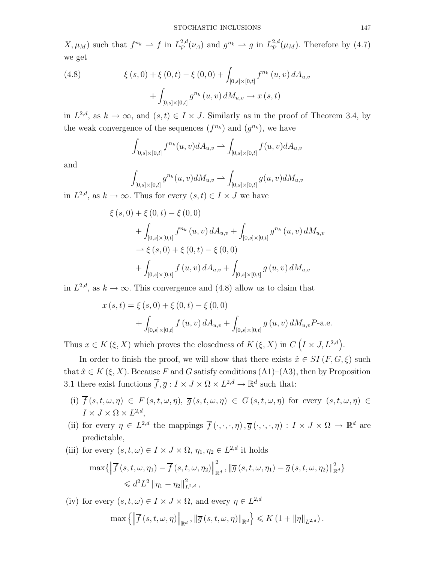$X, \mu_M$ ) such that  $f^{n_k} \rightharpoonup f$  in  $L^{2,d}_p(\nu_A)$  and  $g^{n_k} \rightharpoonup g$  in  $L^{2,d}_p(\mu_M)$ . Therefore by (4.7) we get

(4.8) 
$$
\xi(s,0) + \xi(0,t) - \xi(0,0) + \int_{[0,s] \times [0,t]} f^{n_k}(u,v) dA_{u,v} + \int_{[0,s] \times [0,t]} g^{n_k}(u,v) dM_{u,v} \to x(s,t)
$$

in  $L^{2,d}$ , as  $k \to \infty$ , and  $(s,t) \in I \times J$ . Similarly as in the proof of Theorem 3.4, by the weak convergence of the sequences  $(f^{n_k})$  and  $(g^{n_k})$ , we have

$$
\int_{[0,s]\times[0,t]} f^{n_k}(u,v) dA_{u,v} \rightharpoonup \int_{[0,s]\times[0,t]} f(u,v) dA_{u,v}
$$

and

$$
\int_{[0,s]\times[0,t]} g^{n_k}(u,v) dM_{u,v} \rightharpoonup \int_{[0,s]\times[0,t]} g(u,v) dM_{u,v}
$$

in  $L^{2,d}$ , as  $k \to ∞$ . Thus for every  $(s,t) \in I \times J$  we have

$$
\xi(s,0) + \xi(0,t) - \xi(0,0)
$$
  
+  $\int_{[0,s] \times [0,t]} f^{n_k}(u,v) dA_{u,v} + \int_{[0,s] \times [0,t]} g^{n_k}(u,v) dM_{u,v}$   
 $\to \xi(s,0) + \xi(0,t) - \xi(0,0)$   
+  $\int_{[0,s] \times [0,t]} f(u,v) dA_{u,v} + \int_{[0,s] \times [0,t]} g(u,v) dM_{u,v}$ 

in  $L^{2,d}$ , as  $k \to \infty$ . This convergence and (4.8) allow us to claim that

$$
x(s,t) = \xi(s,0) + \xi(0,t) - \xi(0,0)
$$
  
+ 
$$
\int_{[0,s] \times [0,t]} f(u,v) dA_{u,v} + \int_{[0,s] \times [0,t]} g(u,v) dM_{u,v} P
$$
-a.e.

Thus  $x \in K(\xi, X)$  which proves the closedness of  $K(\xi, X)$  in  $C(I \times J, L^{2,d})$ .

In order to finish the proof, we will show that there exists  $\hat{x} \in SI(F, G, \xi)$  such that  $\hat{x} \in K(\xi, X)$ . Because F and G satisfy conditions  $(A1)$ – $(A3)$ , then by Proposition 3.1 there exist functions  $\overline{f}, \overline{g}: I \times J \times \Omega \times L^{2,d} \to \mathbb{R}^d$  such that:

- (i)  $\overline{f}(s, t, \omega, \eta) \in F(s, t, \omega, \eta), \overline{g}(s, t, \omega, \eta) \in G(s, t, \omega, \eta)$  for every  $(s, t, \omega, \eta) \in$  $I \times J \times \Omega \times L^{2,d}$ ,
- (ii) for every  $\eta \in L^{2,d}$  the mappings  $\overline{f}(\cdot,\cdot,\cdot,\eta), \overline{g}(\cdot,\cdot,\cdot,\eta) : I \times J \times \Omega \to \mathbb{R}^d$  are predictable,
- (iii) for every  $(s, t, \omega) \in I \times J \times \Omega$ ,  $\eta_1, \eta_2 \in L^{2,d}$  it holds

$$
\max\{\left\|\overline{f}\left(s,t,\omega,\eta_{1}\right)-\overline{f}\left(s,t,\omega,\eta_{2}\right)\right\|_{\mathbb{R}^{d}}^{2},\left\|\overline{g}\left(s,t,\omega,\eta_{1}\right)-\overline{g}\left(s,t,\omega,\eta_{2}\right)\right\|_{\mathbb{R}^{d}}^{2}\}\leq d^{2}L^{2}\left\|\eta_{1}-\eta_{2}\right\|_{L^{2,d}}^{2},
$$

(iv) for every  $(s, t, \omega) \in I \times J \times \Omega$ , and every  $\eta \in L^{2,d}$  $\max \left\{ \left\| \overline{f}(s, t, \omega, \eta) \right\|_{\mathbb{R}^d}, \left\| \overline{g}(s, t, \omega, \eta) \right\|_{\mathbb{R}^d} \right\} \leqslant K \left( 1 + \left\| \eta \right\|_{L^{2,d}} \right).$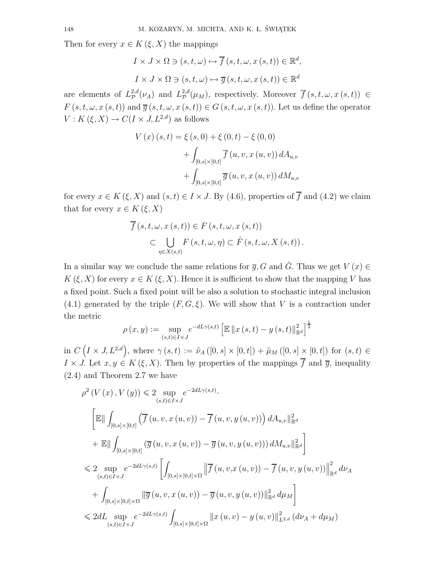Then for every  $x \in K(\xi, X)$  the mappings

$$
I \times J \times \Omega \ni (s, t, \omega) \mapsto \overline{f}(s, t, \omega, x(s, t)) \in \mathbb{R}^d,
$$
  

$$
I \times J \times \Omega \ni (s, t, \omega) \mapsto \overline{g}(s, t, \omega, x(s, t)) \in \mathbb{R}^d
$$

are elements of  $L^{2,d}_{\mathcal{P}}$  $L^{2,d}_{\mathcal{P}}(\nu_A)$  and  $L^{2,d}_{\mathcal{P}}$  $P^{2,a}(\mu_M)$ , respectively. Moreover  $\overline{f}(s,t,\omega,x(s,t)) \in$  $F(s, t, \omega, x(s, t))$  and  $\overline{g}(s, t, \omega, x(s, t)) \in G(s, t, \omega, x(s, t))$ . Let us define the operator  $V: K(\xi, X) \to C(I \times J, L^{2,d})$  as follows

$$
V(x)(s,t) = \xi(s,0) + \xi(0,t) - \xi(0,0)
$$
  
+ 
$$
\int_{[0,s] \times [0,t]} \overline{f}(u,v,x(u,v)) dA_{u,v}
$$
  
+ 
$$
\int_{[0,s] \times [0,t]} \overline{g}(u,v,x(u,v)) dM_{u,v}
$$

for every  $x \in K(\xi, X)$  and  $(s, t) \in I \times J$ . By (4.6), properties of  $\overline{f}$  and (4.2) we claim that for every  $x \in K(\xi, X)$ 

$$
\overline{f}(s,t,\omega,x(s,t)) \in F(s,t,\omega,x(s,t))
$$
  
\n
$$
\subset \bigcup_{\eta \in X(s,t)} F(s,t,\omega,\eta) \subset \hat{F}(s,t,\omega,X(s,t)).
$$

In a similar way we conclude the same relations for  $\overline{q}$ , G and  $\hat{G}$ . Thus we get  $V(x) \in$  $K(\xi, X)$  for every  $x \in K(\xi, X)$ . Hence it is sufficient to show that the mapping *V* has a fixed point. Such a fixed point will be also a solution to stochastic integral inclusion (4.1) generated by the triple  $(F, G, \xi)$ . We will show that *V* is a contraction under the metric

$$
\rho(x,y) := \sup_{(s,t)\in I\times J} e^{-dL\gamma(s,t)} \left[ \mathbb{E} \left\| x\left(s,t\right) - y\left(s,t\right) \right\|_{\mathbb{R}^d}^2 \right]^{\frac{1}{2}}
$$

in  $C(I \times J, L^{2,d})$ , where  $\gamma(s,t) := \tilde{\nu}_A([0,s] \times [0,t]) + \tilde{\mu}_M([0,s] \times [0,t])$  for  $(s,t) \in$  $I \times J$ . Let  $x, y \in K(\xi, X)$ . Then by properties of the mappings  $\overline{f}$  and  $\overline{g}$ , inequality (2.4) and Theorem 2.7 we have

$$
\rho^{2} (V (x), V (y)) \leq 2 \sup_{(s,t) \in I \times J} e^{-2dL\gamma(s,t)}.
$$
\n
$$
\left[ \mathbb{E} \middle\| \int_{[0,s] \times [0,t]} \left( \overline{f} (u, v, x (u, v)) - \overline{f} (u, v, y (u, v)) \right) dA_{u,v} \Vert_{\mathbb{R}^{d}}^{2} \right]
$$
\n
$$
+ \mathbb{E} \middle\| \int_{[0,s] \times [0,t]} \left( \overline{g} (u, v, x (u, v)) - \overline{g} (u, v, y (u, v)) \right) dM_{u,v} \Vert_{\mathbb{R}^{d}}^{2} \right]
$$
\n
$$
\leq 2 \sup_{(s,t) \in I \times J} e^{-2dL\gamma(s,t)} \left[ \int_{[0,s] \times [0,t] \times \Omega} \left\| \overline{f} (u, v, x (u, v)) - \overline{f} (u, v, y (u, v)) \right\|_{\mathbb{R}^{d}}^{2} d\nu_{A}
$$
\n
$$
+ \int_{[0,s] \times [0,t] \times \Omega} \left\| \overline{g} (u, v, x (u, v)) - \overline{g} (u, v, y (u, v)) \right\|_{\mathbb{R}^{d}}^{2} d\mu_{M} \right]
$$
\n
$$
\leq 2dL \sup_{(s,t) \in I \times J} e^{-2dL\gamma(s,t)} \int_{[0,s] \times [0,t] \times \Omega} \left\| x (u, v) - y (u, v) \right\|_{L^{2,d}}^{2} (d\nu_{A} + d\mu_{M})
$$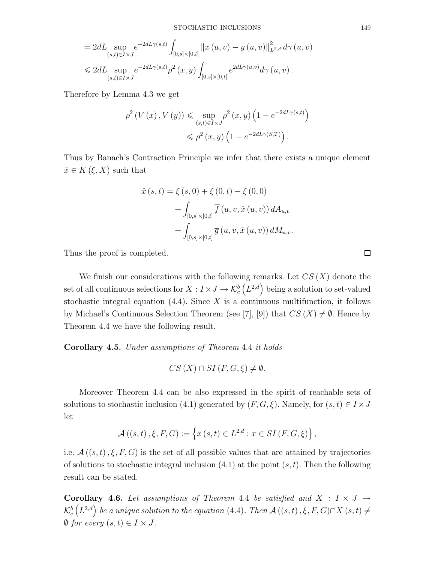$$
= 2dL \sup_{(s,t)\in I\times J} e^{-2dL\gamma(s,t)} \int_{[0,s]\times[0,t]} ||x(u,v) - y(u,v)||_{L^{2,d}}^2 d\gamma(u,v) \n\leq 2dL \sup_{(s,t)\in I\times J} e^{-2dL\gamma(s,t)} \rho^2(x,y) \int_{[0,s]\times[0,t]} e^{2dL\gamma(u,v)} d\gamma(u,v) .
$$

Therefore by Lemma 4.3 we get

$$
\rho^2\left(V\left(x\right), V\left(y\right)\right) \leq \sup_{\left(s,t\right) \in I \times J} \rho^2\left(x, y\right) \left(1 - e^{-2dL\gamma\left(s,t\right)}\right) \\
\leqslant \rho^2\left(x, y\right) \left(1 - e^{-2dL\gamma\left(S,T\right)}\right).
$$

Thus by Banach's Contraction Principle we infer that there exists a unique element  $\hat{x} \in K(\xi, X)$  such that

$$
\hat{x}(s,t) = \xi(s,0) + \xi(0,t) - \xi(0,0) \n+ \int_{[0,s] \times [0,t]} \overline{f}(u,v,\hat{x}(u,v)) dA_{u,v} \n+ \int_{[0,s] \times [0,t]} \overline{g}(u,v,\hat{x}(u,v)) dM_{u,v}.
$$

Thus the proof is completed.

We finish our considerations with the following remarks. Let *CS* (*X*) denote the set of all continuous selections for  $X: I \times J \rightarrow \mathcal{K}_c^b$  $(L^{2,d})$  being a solution to set-valued stochastic integral equation (4.4). Since *X* is a continuous multifunction, it follows by Michael's Continuous Selection Theorem (see [7], [9]) that  $CS(X) \neq \emptyset$ . Hence by Theorem 4.4 we have the following result.

**Corollary 4.5.** *Under assumptions of Theorem* 4.4 *it holds*

$$
CS(X) \cap SI(F, G, \xi) \neq \emptyset.
$$

Moreover Theorem 4.4 can be also expressed in the spirit of reachable sets of solutions to stochastic inclusion (4.1) generated by  $(F, G, \xi)$ . Namely, for  $(s, t) \in I \times J$ let

$$
\mathcal{A}((s,t),\xi,F,G):=\left\{x\left(s,t\right)\in L^{2,d}:x\in SI\left(F,G,\xi\right)\right\},\,
$$

i.e.  $\mathcal{A}((s,t), \xi, F, G)$  is the set of all possible values that are attained by trajectories of solutions to stochastic integral inclusion (4.1) at the point (*s, t*). Then the following result can be stated.

**Corollary 4.6.** Let assumptions of Theorem 4.4 be satisfied and  $X : I \times J \rightarrow$  $\mathcal{K}_c^b$  $(L^{2,d})$  be a unique solution to the equation (4.4)*.* Then  $\mathcal{A}((s,t), \xi, F, G) \cap X$  (*s, t*)  $\neq$ *Ø for every*  $(s, t) \in I \times J$ *.* 

 $\Box$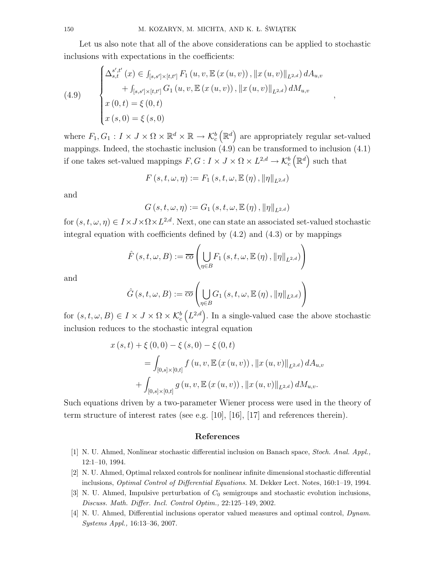Let us also note that all of the above considerations can be applied to stochastic inclusions with expectations in the coefficients:

*,*

(4.9)  

$$
\begin{cases}\n\Delta_{s,t}^{s',t'}(x) \in \int_{[s,s']\times[t,t']} F_1(u,v,\mathbb{E}(x(u,v)), \|x(u,v)\|_{L^{2,d}}) dA_{u,v} \\
+ \int_{[s,s']\times[t,t']} G_1(u,v,\mathbb{E}(x(u,v)), \|x(u,v)\|_{L^{2,d}}) dM_{u,v} \\
x(0,t) = \xi(0,t) \\
x(s,0) = \xi(s,0)\n\end{cases}
$$

where  $F_1, G_1: I \times J \times \Omega \times \mathbb{R}^d \times \mathbb{R} \to \mathcal{K}_c^b$  $(\mathbb{R}^d)$  are appropriately regular set-valued mappings. Indeed, the stochastic inclusion (4.9) can be transformed to inclusion (4.1) if one takes set-valued mappings  $F, G: I \times J \times \Omega \times L^{2,d} \to \mathcal{K}_c^b$  $(\mathbb{R}^d)$  such that

$$
F(s, t, \omega, \eta) := F_1(s, t, \omega, \mathbb{E}(\eta), ||\eta||_{L^{2,d}})
$$

and

$$
G(s, t, \omega, \eta) := G_1(s, t, \omega, \mathbb{E}(\eta), ||\eta||_{L^{2,d}})
$$

for  $(s, t, \omega, \eta) \in I \times J \times \Omega \times L^{2,d}$ . Next, one can state an associated set-valued stochastic integral equation with coefficients defined by (4.2) and (4.3) or by mappings

$$
\hat{F}(s,t,\omega,B) := \overline{co} \left( \bigcup_{\eta \in B} F_1(s,t,\omega,\mathbb{E}(\eta), \|\eta\|_{L^{2,d}}) \right)
$$

and

$$
\hat{G}(s,t,\omega,B) := \overline{co} \left( \bigcup_{\eta \in B} G_1(s,t,\omega,\mathbb{E}(\eta), \|\eta\|_{L^{2,d}}) \right)
$$

for  $(s, t, \omega, B) \in I \times J \times \Omega \times \mathcal{K}_c^b$  $(L^{2,d})$ . In a single-valued case the above stochastic inclusion reduces to the stochastic integral equation

$$
x(s,t) + \xi(0,0) - \xi(s,0) - \xi(0,t)
$$
  
= 
$$
\int_{[0,s] \times [0,t]} f(u,v,\mathbb{E}(x(u,v)), \|x(u,v)\|_{L^{2,d}}) dA_{u,v}
$$
  
+ 
$$
\int_{[0,s] \times [0,t]} g(u,v,\mathbb{E}(x(u,v)), \|x(u,v)\|_{L^{2,d}}) dM_{u,v}.
$$

Such equations driven by a two-parameter Wiener process were used in the theory of term structure of interest rates (see e.g. [10], [16], [17] and references therein).

#### **References**

- [1] N. U. Ahmed, Nonlinear stochastic differential inclusion on Banach space, *Stoch. Anal. Appl.,* 12:1–10, 1994.
- [2] N. U. Ahmed, Optimal relaxed controls for nonlinear infinite dimensional stochastic differential inclusions, *Optimal Control of Differential Equations*. M. Dekker Lect. Notes, 160:1–19, 1994.
- [3] N. U. Ahmed, Impulsive perturbation of *C*<sup>0</sup> semigroups and stochastic evolution inclusions, *Discuss. Math. Differ. Incl. Control Optim.,* 22:125–149, 2002.
- [4] N. U. Ahmed, Differential inclusions operator valued measures and optimal control, *Dynam. Systems Appl.,* 16:13–36, 2007.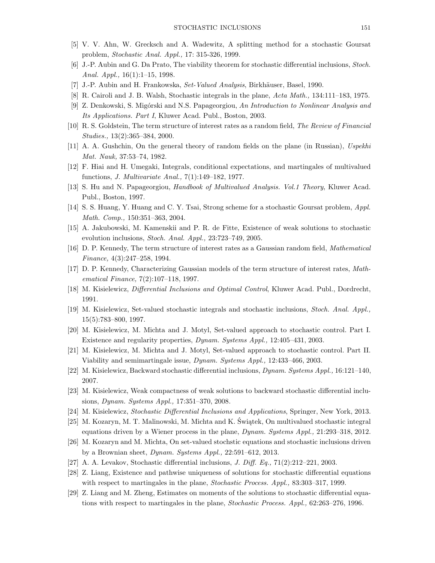- [5] V. V. Ahn, W. Grecksch and A. Wadewitz, A splitting method for a stochastic Goursat problem, *Stochastic Anal. Appl.,* 17: 315-326, 1999.
- [6] J.-P. Aubin and G. Da Prato, The viability theorem for stochastic differential inclusions, *Stoch. Anal. Appl.,* 16(1):1–15, 1998.
- [7] J.-P. Aubin and H. Frankowska, *Set-Valued Analysis*, Birkh¨auser, Basel, 1990.
- [8] R. Cairoli and J. B. Walsh, Stochastic integrals in the plane, *Acta Math.,* 134:111–183, 1975.
- [9] Z. Denkowski, S. Migórski and N.S. Papageorgiou, *An Introduction to Nonlinear Analysis and Its Applications. Part I*, Kluwer Acad. Publ., Boston, 2003.
- [10] R. S. Goldstein, The term structure of interest rates as a random field, *The Review of Financial Studies.,* 13(2):365–384, 2000.
- [11] A. A. Gushchin, On the general theory of random fields on the plane (in Russian), *Uspekhi Mat. Nauk,* 37:53–74, 1982.
- [12] F. Hiai and H. Umegaki, Integrals, conditional expectations, and martingales of multivalued functions, *J. Multivariate Anal.,* 7(1):149–182, 1977.
- [13] S. Hu and N. Papageorgiou, *Handbook of Multivalued Analysis. Vol.1 Theory*, Kluwer Acad. Publ., Boston, 1997.
- [14] S. S. Huang, Y. Huang and C. Y. Tsai, Strong scheme for a stochastic Goursat problem, *Appl. Math. Comp.,* 150:351–363, 2004.
- [15] A. Jakubowski, M. Kamenskii and P. R. de Fitte, Existence of weak solutions to stochastic evolution inclusions, *Stoch. Anal. Appl.,* 23:723–749, 2005.
- [16] D. P. Kennedy, The term structure of interest rates as a Gaussian random field, *Mathematical Finance,* 4(3):247–258, 1994.
- [17] D. P. Kennedy, Characterizing Gaussian models of the term structure of interest rates, *Mathematical Finance,* 7(2):107–118, 1997.
- [18] M. Kisielewicz, *Differential Inclusions and Optimal Control*, Kluwer Acad. Publ., Dordrecht, 1991.
- [19] M. Kisielewicz, Set-valued stochastic integrals and stochastic inclusions, *Stoch. Anal. Appl.,* 15(5):783–800, 1997.
- [20] M. Kisielewicz, M. Michta and J. Motyl, Set-valued approach to stochastic control. Part I. Existence and regularity properties, *Dynam. Systems Appl.,* 12:405–431, 2003.
- [21] M. Kisielewicz, M. Michta and J. Motyl, Set-valued approach to stochastic control. Part II. Viability and semimartingale issue, *Dynam. Systems Appl.,* 12:433–466, 2003.
- [22] M. Kisielewicz, Backward stochastic differential inclusions, *Dynam. Systems Appl.,* 16:121–140, 2007.
- [23] M. Kisielewicz, Weak compactness of weak solutions to backward stochastic differential inclusions, *Dynam. Systems Appl.,* 17:351–370, 2008.
- [24] M. Kisielewicz, *Stochastic Differential Inclusions and Applications*, Springer, New York, 2013.
- [25] M. Kozaryn, M. T. Malinowski, M. Michta and K. Świątek, On multivalued stochastic integral equations driven by a Wiener process in the plane, *Dynam. Systems Appl.,* 21:293–318, 2012.
- [26] M. Kozaryn and M. Michta, On set-valued stochstic equations and stochastic inclusions driven by a Brownian sheet, *Dynam. Systems Appl.,* 22:591–612, 2013.
- [27] A. A. Levakov, Stochastic differential inclusions, *J. Diff. Eq.,* 71(2):212–221, 2003.
- [28] Z. Liang, Existence and pathwise uniqueness of solutions for stochastic differential equations with respect to martingales in the plane, *Stochastic Process. Appl.,* 83:303–317, 1999.
- [29] Z. Liang and M. Zheng, Estimates on moments of the solutions to stochastic differential equations with respect to martingales in the plane, *Stochastic Process. Appl.,* 62:263–276, 1996.